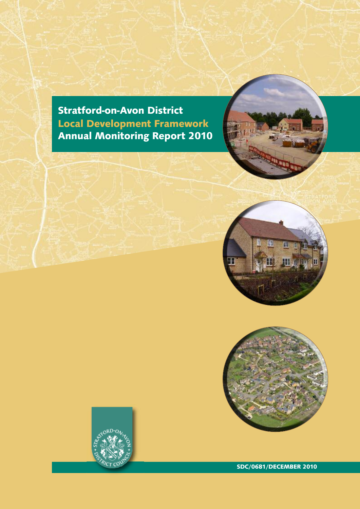**Stratford-on-Avon District Local Development Framework Annual Monitoring Report 2010**







**SDC/0681/DECEMBER 2010**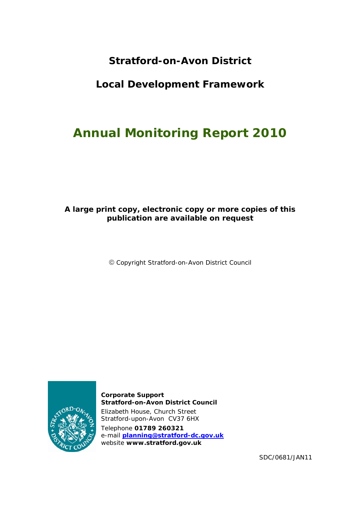## **Stratford-on-Avon District**

## **Local Development Framework**

# **Annual Monitoring Report 2010**

## **A large print copy, electronic copy or more copies of this publication are available on request**

Copyright Stratford-on-Avon District Council



**Corporate Support Stratford-on-Avon District Council**  Elizabeth House, Church Street Stratford-upon-Avon CV37 6HX Telephone **01789 260321** e-mail **planning@stratford-dc.gov.uk** website **www.stratford.gov.uk**

SDC/0681/JAN11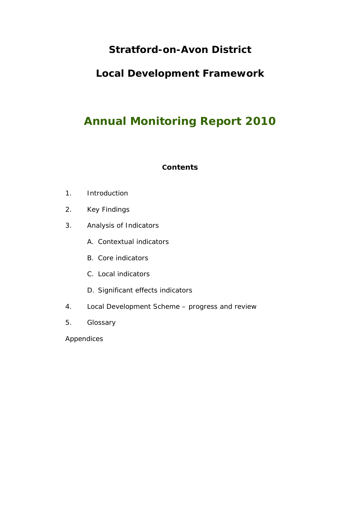## **Stratford-on-Avon District**

## **Local Development Framework**

# **Annual Monitoring Report 2010**

## **Contents**

- 1. Introduction
- 2. Key Findings
- 3. Analysis of Indicators
	- A. Contextual indicators
	- B. Core indicators
	- C. Local indicators
	- D. Significant effects indicators
- 4. Local Development Scheme progress and review
- 5. Glossary

Appendices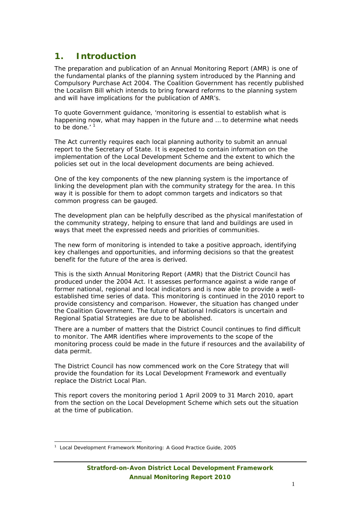## **1. Introduction**

The preparation and publication of an Annual Monitoring Report (AMR) is one of the fundamental planks of the planning system introduced by the Planning and Compulsory Purchase Act 2004. The Coalition Government has recently published the Localism Bill which intends to bring forward reforms to the planning system and will have implications for the publication of AMR's.

To quote Government guidance, 'monitoring is essential to establish what is happening now, what may happen in the future and … to determine what needs to be done.'<sup>1</sup>

The Act currently requires each local planning authority to submit an annual report to the Secretary of State. It is expected to contain information on the implementation of the Local Development Scheme and the extent to which the policies set out in the local development documents are being achieved.

One of the key components of the new planning system is the importance of linking the development plan with the community strategy for the area. In this way it is possible for them to adopt common targets and indicators so that common progress can be gauged.

The development plan can be helpfully described as the physical manifestation of the community strategy, helping to ensure that land and buildings are used in ways that meet the expressed needs and priorities of communities.

The new form of monitoring is intended to take a positive approach, identifying key challenges and opportunities, and informing decisions so that the greatest benefit for the future of the area is derived.

This is the sixth Annual Monitoring Report (AMR) that the District Council has produced under the 2004 Act. It assesses performance against a wide range of former national, regional and local indicators and is now able to provide a wellestablished time series of data. This monitoring is continued in the 2010 report to provide consistency and comparison. However, the situation has changed under the Coalition Government. The future of National Indicators is uncertain and Regional Spatial Strategies are due to be abolished.

There are a number of matters that the District Council continues to find difficult to monitor. The AMR identifies where improvements to the scope of the monitoring process could be made in the future if resources and the availability of data permit.

The District Council has now commenced work on the Core Strategy that will provide the foundation for its Local Development Framework and eventually replace the District Local Plan.

This report covers the monitoring period 1 April 2009 to 31 March 2010, apart from the section on the Local Development Scheme which sets out the situation at the time of publication.

 $\overline{\phantom{a}}$ <sup>1</sup> Local Development Framework Monitoring: A Good Practice Guide, 2005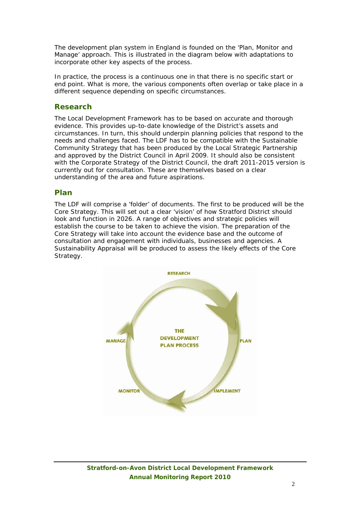The development plan system in England is founded on the 'Plan, Monitor and Manage' approach. This is illustrated in the diagram below with adaptations to incorporate other key aspects of the process.

In practice, the process is a continuous one in that there is no specific start or end point. What is more, the various components often overlap or take place in a different sequence depending on specific circumstances.

## **Research**

The Local Development Framework has to be based on accurate and thorough evidence. This provides up-to-date knowledge of the District's assets and circumstances. In turn, this should underpin planning policies that respond to the needs and challenges faced. The LDF has to be compatible with the Sustainable Community Strategy that has been produced by the Local Strategic Partnership and approved by the District Council in April 2009. It should also be consistent with the Corporate Strategy of the District Council, the draft 2011-2015 version is currently out for consultation. These are themselves based on a clear understanding of the area and future aspirations.

## **Plan**

The LDF will comprise a 'folder' of documents. The first to be produced will be the Core Strategy. This will set out a clear 'vision' of how Stratford District should look and function in 2026. A range of objectives and strategic policies will establish the course to be taken to achieve the vision. The preparation of the Core Strategy will take into account the evidence base and the outcome of consultation and engagement with individuals, businesses and agencies. A Sustainability Appraisal will be produced to assess the likely effects of the Core Strategy.

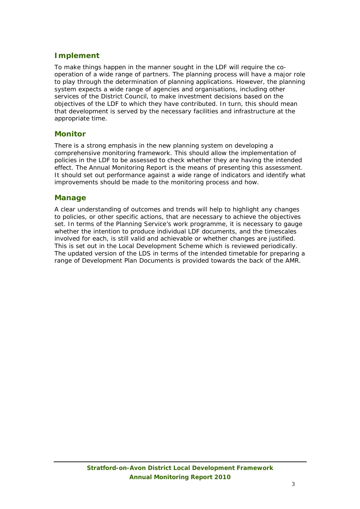## **Implement**

To make things happen in the manner sought in the LDF will require the cooperation of a wide range of partners. The planning process will have a major role to play through the determination of planning applications. However, the planning system expects a wide range of agencies and organisations, including other services of the District Council, to make investment decisions based on the objectives of the LDF to which they have contributed. In turn, this should mean that development is served by the necessary facilities and infrastructure at the appropriate time.

## **Monitor**

There is a strong emphasis in the new planning system on developing a comprehensive monitoring framework. This should allow the implementation of policies in the LDF to be assessed to check whether they are having the intended effect. The Annual Monitoring Report is the means of presenting this assessment. It should set out performance against a wide range of indicators and identify what improvements should be made to the monitoring process and how.

## **Manage**

A clear understanding of outcomes and trends will help to highlight any changes to policies, or other specific actions, that are necessary to achieve the objectives set. In terms of the Planning Service's work programme, it is necessary to gauge whether the intention to produce individual LDF documents, and the timescales involved for each, is still valid and achievable or whether changes are justified. This is set out in the Local Development Scheme which is reviewed periodically. The updated version of the LDS in terms of the intended timetable for preparing a range of Development Plan Documents is provided towards the back of the AMR.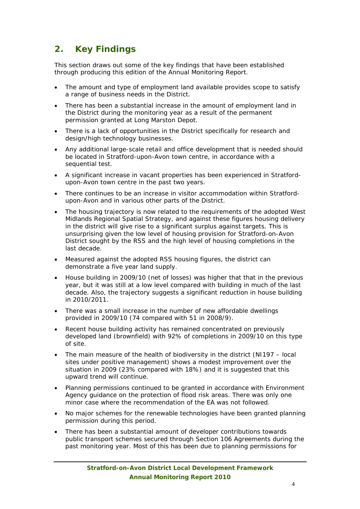## **2. Key Findings**

This section draws out some of the key findings that have been established through producing this edition of the Annual Monitoring Report.

- The amount and type of employment land available provides scope to satisfy a range of business needs in the District.
- There has been a substantial increase in the amount of employment land in the District during the monitoring year as a result of the permanent permission granted at Long Marston Depot.
- There is a lack of opportunities in the District specifically for research and design/high technology businesses.
- Any additional large-scale retail and office development that is needed should be located in Stratford-upon-Avon town centre, in accordance with a sequential test.
- A significant increase in vacant properties has been experienced in Stratfordupon-Avon town centre in the past two years.
- There continues to be an increase in visitor accommodation within Stratfordupon-Avon and in various other parts of the District.
- The housing trajectory is now related to the requirements of the adopted West Midlands Regional Spatial Strategy, and against these figures housing delivery in the district will give rise to a significant surplus against targets. This is unsurprising given the low level of housing provision for Stratford-on-Avon District sought by the RSS and the high level of housing completions in the last decade.
- Measured against the adopted RSS housing figures, the district can demonstrate a five year land supply.
- House building in 2009/10 (net of losses) was higher that that in the previous year, but it was still at a low level compared with building in much of the last decade. Also, the trajectory suggests a significant reduction in house building in 2010/2011.
- There was a small increase in the number of new affordable dwellings provided in 2009/10 (74 compared with 51 in 2008/9).
- Recent house building activity has remained concentrated on previously developed land (brownfield) with 92% of completions in 2009/10 on this type of site.
- The main measure of the health of biodiversity in the district (NI197 local sites under positive management) shows a modest improvement over the situation in 2009 (23% compared with 18%) and it is suggested that this upward trend will continue.
- Planning permissions continued to be granted in accordance with Environment Agency guidance on the protection of flood risk areas. There was only one minor case where the recommendation of the EA was not followed.
- No major schemes for the renewable technologies have been granted planning permission during this period.
- There has been a substantial amount of developer contributions towards public transport schemes secured through Section 106 Agreements during the past monitoring year. Most of this has been due to planning permissions for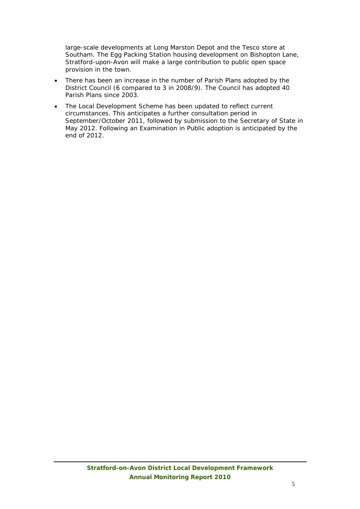large-scale developments at Long Marston Depot and the Tesco store at Southam. The Egg Packing Station housing development on Bishopton Lane, Stratford-upon-Avon will make a large contribution to public open space provision in the town.

- There has been an increase in the number of Parish Plans adopted by the District Council (6 compared to 3 in 2008/9). The Council has adopted 40 Parish Plans since 2003.
- The Local Development Scheme has been updated to reflect current circumstances. This anticipates a further consultation period in September/October 2011, followed by submission to the Secretary of State in May 2012. Following an Examination in Public adoption is anticipated by the end of 2012.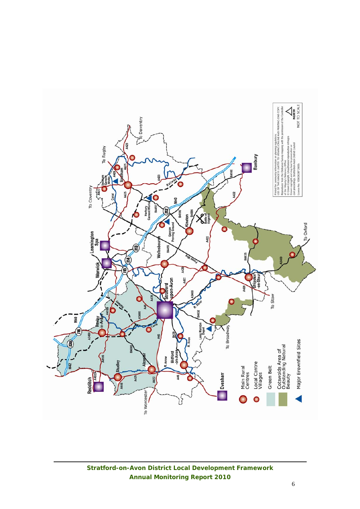

**Stratford-on-Avon District Local Development Framework Annual Monitoring Report 2010**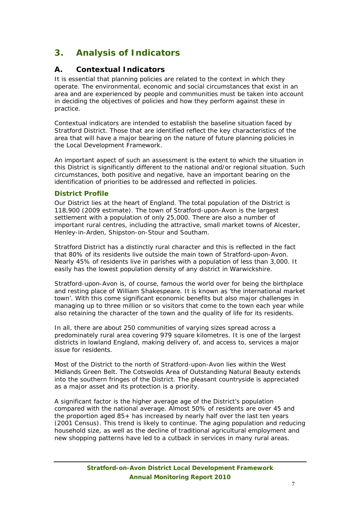## **3. Analysis of Indicators**

## **A. Contextual Indicators**

It is essential that planning policies are related to the context in which they operate. The environmental, economic and social circumstances that exist in an area and are experienced by people and communities must be taken into account in deciding the objectives of policies and how they perform against these in practice.

Contextual indicators are intended to establish the baseline situation faced by Stratford District. Those that are identified reflect the key characteristics of the area that will have a major bearing on the nature of future planning policies in the Local Development Framework.

An important aspect of such an assessment is the extent to which the situation in this District is significantly different to the national and/or regional situation. Such circumstances, both positive and negative, have an important bearing on the identification of priorities to be addressed and reflected in policies.

## **District Profile**

Our District lies at the heart of England. The total population of the District is 118,900 (2009 estimate). The town of Stratford-upon-Avon is the largest settlement with a population of only 25,000. There are also a number of important rural centres, including the attractive, small market towns of Alcester, Henley-in-Arden, Shipston-on-Stour and Southam.

Stratford District has a distinctly rural character and this is reflected in the fact that 80% of its residents live outside the main town of Stratford-upon-Avon. Nearly 45% of residents live in parishes with a population of less than 3,000. It easily has the lowest population density of any district in Warwickshire.

Stratford-upon-Avon is, of course, famous the world over for being the birthplace and resting place of William Shakespeare. It is known as 'the international market town'. With this come significant economic benefits but also major challenges in managing up to three million or so visitors that come to the town each year while also retaining the character of the town and the quality of life for its residents.

In all, there are about 250 communities of varying sizes spread across a predominately rural area covering 979 square kilometres. It is one of the largest districts in lowland England, making delivery of, and access to, services a major issue for residents.

Most of the District to the north of Stratford-upon-Avon lies within the West Midlands Green Belt. The Cotswolds Area of Outstanding Natural Beauty extends into the southern fringes of the District. The pleasant countryside is appreciated as a major asset and its protection is a priority.

A significant factor is the higher average age of the District's population compared with the national average. Almost 50% of residents are over 45 and the proportion aged 85+ has increased by nearly half over the last ten years (2001 Census). This trend is likely to continue. The aging population and reducing household size, as well as the decline of traditional agricultural employment and new shopping patterns have led to a cutback in services in many rural areas.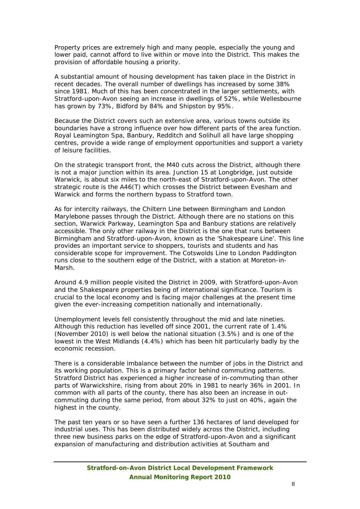Property prices are extremely high and many people, especially the young and lower paid, cannot afford to live within or move into the District. This makes the provision of affordable housing a priority.

A substantial amount of housing development has taken place in the District in recent decades. The overall number of dwellings has increased by some 38% since 1981. Much of this has been concentrated in the larger settlements, with Stratford-upon-Avon seeing an increase in dwellings of 52%, while Wellesbourne has grown by 73%, Bidford by 84% and Shipston by 95%.

Because the District covers such an extensive area, various towns outside its boundaries have a strong influence over how different parts of the area function. Royal Leamington Spa, Banbury, Redditch and Solihull all have large shopping centres, provide a wide range of employment opportunities and support a variety of leisure facilities.

On the strategic transport front, the M40 cuts across the District, although there is not a major junction within its area. Junction 15 at Longbridge, just outside Warwick, is about six miles to the north-east of Stratford-upon-Avon. The other strategic route is the A46(T) which crosses the District between Evesham and Warwick and forms the northern bypass to Stratford town.

As for intercity railways, the Chiltern Line between Birmingham and London Marylebone passes through the District. Although there are no stations on this section, Warwick Parkway, Leamington Spa and Banbury stations are relatively accessible. The only other railway in the District is the one that runs between Birmingham and Stratford-upon-Avon, known as the 'Shakespeare Line'. This line provides an important service to shoppers, tourists and students and has considerable scope for improvement. The Cotswolds Line to London Paddington runs close to the southern edge of the District, with a station at Moreton-in-Marsh.

Around 4.9 million people visited the District in 2009, with Stratford-upon-Avon and the Shakespeare properties being of international significance. Tourism is crucial to the local economy and is facing major challenges at the present time given the ever-increasing competition nationally and internationally.

Unemployment levels fell consistently throughout the mid and late nineties. Although this reduction has levelled off since 2001, the current rate of 1.4% (November 2010) is well below the national situation (3.5%) and is one of the lowest in the West Midlands (4.4%) which has been hit particularly badly by the economic recession.

There is a considerable imbalance between the number of jobs in the District and its working population. This is a primary factor behind commuting patterns. Stratford District has experienced a higher increase of in-commuting than other parts of Warwickshire, rising from about 20% in 1981 to nearly 36% in 2001. In common with all parts of the county, there has also been an increase in outcommuting during the same period, from about 32% to just on 40%, again the highest in the county.

The past ten years or so have seen a further 136 hectares of land developed for industrial uses. This has been distributed widely across the District, including three new business parks on the edge of Stratford-upon-Avon and a significant expansion of manufacturing and distribution activities at Southam and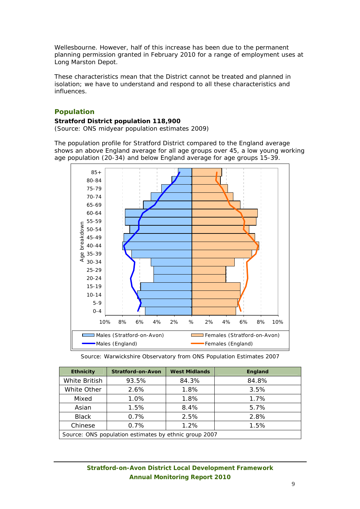Wellesbourne. However, half of this increase has been due to the permanent planning permission granted in February 2010 for a range of employment uses at Long Marston Depot.

These characteristics mean that the District cannot be treated and planned in isolation; we have to understand and respond to all these characteristics and influences.

## **Population**

#### **Stratford District population 118,900**

*(Source: ONS midyear population estimates 2009)*

The population profile for Stratford District compared to the England average shows an above England average for all age groups over 45, a low young working age population (20-34) and below England average for age groups 15-39.



*Source: Warwickshire Observatory from ONS Population Estimates 2007* 

| <b>Ethnicity</b> | <b>Stratford-on-Avon</b><br><b>West Midlands</b>      |       | England |
|------------------|-------------------------------------------------------|-------|---------|
| White British    | 93.5%                                                 | 84.3% | 84.8%   |
| White Other      | 2.6%                                                  | 1.8%  | 3.5%    |
| Mixed            | 1.0%                                                  | 1.8%  | 1.7%    |
| Asian            | 1.5%                                                  | 8.4%  | 5.7%    |
| Black            | 0.7%                                                  | 2.5%  | 2.8%    |
| Chinese          | 0.7%                                                  | 1.2%  | 1.5%    |
|                  | Source: ONS population estimates by ethnic group 2007 |       |         |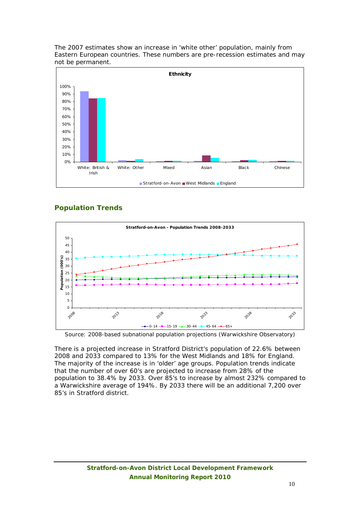The 2007 estimates show an increase in 'white other' population, mainly from Eastern European countries. These numbers are pre-recession estimates and may not be permanent.



## **Population Trends**



*Source: 2008-based subnational population projections (Warwickshire Observatory)* 

There is a projected increase in Stratford District's population of 22.6% between 2008 and 2033 compared to 13% for the West Midlands and 18% for England. The majority of the increase is in 'older' age groups. Population trends indicate that the number of over 60's are projected to increase from 28% of the population to 38.4% by 2033. Over 85's to increase by almost 232% compared to a Warwickshire average of 194%. By 2033 there will be an additional 7,200 over 85's in Stratford district.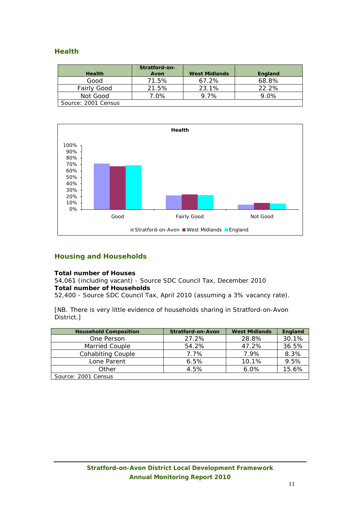## **Health**

| <b>Health</b>       | Stratford-on-<br>Avon | <b>West Midlands</b> | England  |
|---------------------|-----------------------|----------------------|----------|
| Good                | 71.5%                 | 67.2%                | 68.8%    |
| <b>Fairly Good</b>  | 21.5%                 | 23.1%                | $22.2\%$ |
| Not Good            | 7.0%                  | $9.7\%$              | $9.0\%$  |
| Source: 2001 Census |                       |                      |          |



## **Housing and Households**

#### **Total number of Houses**

54,061 (including vacant) - Source SDC Council Tax, December 2010 **Total number of Households** 

52,400 - Source SDC Council Tax, April 2010 (assuming a 3% vacancy rate).

[NB. There is very little evidence of households sharing in Stratford-on-Avon District.]

| <b>Household Composition</b> | <b>Stratford-on-Avon</b> | <b>West Midlands</b> | England |
|------------------------------|--------------------------|----------------------|---------|
| One Person                   | 27.2%                    | 28.8%                | 30.1%   |
| Married Couple               | 54.2%                    | 47.2%                | 36.5%   |
| <b>Cohabiting Couple</b>     | 7.7%                     | 7.9%                 | 8.3%    |
| Lone Parent                  | 6.5%                     | 10.1%                | 9.5%    |
| Other                        | 4.5%                     | $6.0\%$              | 15.6%   |
| Source: 2001 Census          |                          |                      |         |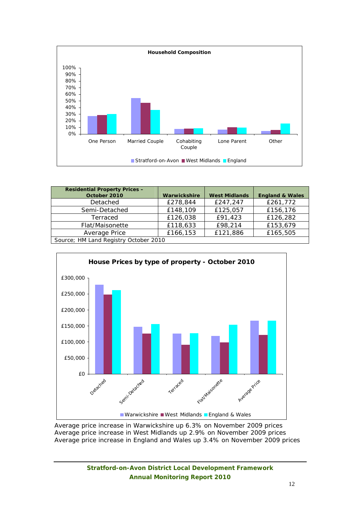

| <b>Residential Property Prices -</b>  |              |                      |                            |
|---------------------------------------|--------------|----------------------|----------------------------|
| October 2010                          | Warwickshire | <b>West Midlands</b> | <b>England &amp; Wales</b> |
| Detached                              | £278,844     | £247,247             | £261,772                   |
| Semi-Detached                         | £148,109     | £125,057             | £156,176                   |
| Terraced                              | £126,038     | £91,423              | £126,282                   |
| Flat/Maisonette                       | £118,633     | £98,214              | £153,679                   |
| Average Price                         | £166,153     | £121,886             | £165,505                   |
| Source; HM Land Registry October 2010 |              |                      |                            |



Average price increase in Warwickshire up 6.3% on November 2009 prices Average price increase in West Midlands up 2.9% on November 2009 prices Average price increase in England and Wales up 3.4% on November 2009 prices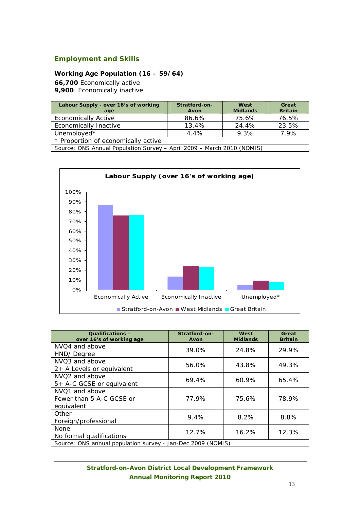## **Employment and Skills**

#### **Working Age Population (16 – 59/64)**

**66,700** Economically active

**9,900** Economically inactive

| Labour Supply - over 16's of working<br>age                            | Stratford-on-<br>Avon | West<br><b>Midlands</b> | Great<br><b>Britain</b> |  |  |  |
|------------------------------------------------------------------------|-----------------------|-------------------------|-------------------------|--|--|--|
| <b>Economically Active</b>                                             | 86.6%                 | 75.6%                   | 76.5%                   |  |  |  |
| <b>Economically Inactive</b>                                           | 13.4%                 | 24.4%                   | 23.5%                   |  |  |  |
| Unemployed*                                                            | 4.4%                  | 9.3%                    | 7.9%                    |  |  |  |
| * Proportion of economically active                                    |                       |                         |                         |  |  |  |
| Source: ONS Annual Population Survey - April 2009 - March 2010 (NOMIS) |                       |                         |                         |  |  |  |



| <b>Qualifications -</b><br>over 16's of working age         | Stratford-on-<br>Avon | West<br><b>Midlands</b> | Great<br><b>Britain</b> |
|-------------------------------------------------------------|-----------------------|-------------------------|-------------------------|
| NVO <sub>4</sub> and above<br>HND/Degree                    | 39.0%                 | 24.8%                   | 29.9%                   |
| NVQ3 and above<br>$2+$ A Levels or equivalent               | 56.0%                 | 43.8%                   | 49.3%                   |
| NVQ <sub>2</sub> and above<br>5+ A-C GCSE or equivalent     | 69.4%                 | 60.9%                   | 65.4%                   |
| NVO1 and above<br>Fewer than 5 A-C GCSE or<br>equivalent    | 77.9%                 | 75.6%                   | 78.9%                   |
| Other<br>Foreign/professional                               | 9.4%                  | 8.2%                    | 8.8%                    |
| <b>None</b><br>No formal qualifications                     | 12.7%                 | 16.2%                   | 12.3%                   |
| Source: ONS annual population survey - Jan-Dec 2009 (NOMIS) |                       |                         |                         |

## **Stratford-on-Avon District Local Development Framework Annual Monitoring Report 2010**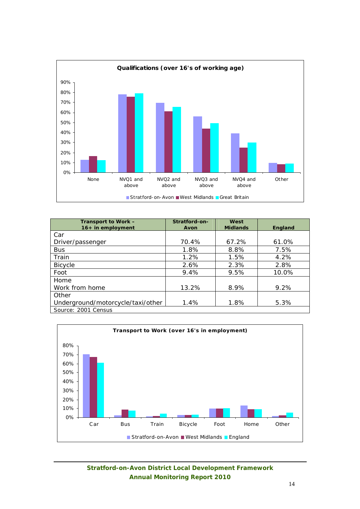

| Transport to Work -<br>$16+$ in employment | Stratford-on-<br>Avon | West<br><b>Midlands</b> | England |
|--------------------------------------------|-----------------------|-------------------------|---------|
| Car                                        |                       |                         |         |
| Driver/passenger                           | 70.4%                 | 67.2%                   | 61.0%   |
| <b>Bus</b>                                 | 1.8%                  | 8.8%                    | 7.5%    |
| Train                                      | 1.2%                  | 1.5%                    | 4.2%    |
| <b>Bicycle</b>                             | 2.6%                  | 2.3%                    | 2.8%    |
| Foot                                       | 9.4%                  | 9.5%                    | 10.0%   |
| Home                                       |                       |                         |         |
| Work from home                             | 13.2%                 | 8.9%                    | $9.2\%$ |
| Other                                      |                       |                         |         |
| Underground/motorcycle/taxi/other          | 1.4%                  | 1.8%                    | 5.3%    |
| Source: 2001 Census                        |                       |                         |         |



**Stratford-on-Avon District Local Development Framework Annual Monitoring Report 2010**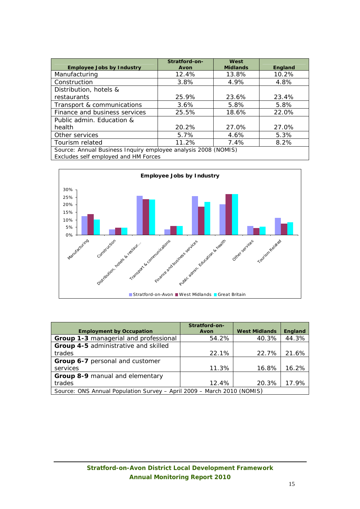| <b>Employee Jobs by Industry</b>                               | Stratford-on-<br>Avon | West<br><b>Midlands</b> | England |  |  |  |
|----------------------------------------------------------------|-----------------------|-------------------------|---------|--|--|--|
| Manufacturing                                                  | 12.4%                 | 13.8%                   | 10.2%   |  |  |  |
| Construction                                                   | 3.8%                  | 4.9%                    | 4.8%    |  |  |  |
| Distribution, hotels &                                         |                       |                         |         |  |  |  |
| restaurants                                                    | 25.9%                 | 23.6%                   | 23.4%   |  |  |  |
| Transport & communications                                     | $3.6\%$               | 5.8%                    | 5.8%    |  |  |  |
| Finance and business services                                  | 25.5%                 | 18.6%                   | 22.0%   |  |  |  |
| Public admin. Education &                                      |                       |                         |         |  |  |  |
| health                                                         | 20.2%                 | 27.0%                   | 27.0%   |  |  |  |
| Other services                                                 | 5.7%                  | 4.6%                    | 5.3%    |  |  |  |
| Tourism related                                                | 11.2%                 | 7.4%                    | 8.2%    |  |  |  |
| Source: Annual Business Inquiry employee analysis 2008 (NOMIS) |                       |                         |         |  |  |  |

*Excludes self employed and HM Forces*



|                                                                        | Stratford-on- |                      |                |
|------------------------------------------------------------------------|---------------|----------------------|----------------|
| <b>Employment by Occupation</b>                                        | Avon          | <b>West Midlands</b> | <b>England</b> |
| Group 1-3 managerial and professional                                  | 54.2%         | 40.3%                | 44.3%          |
| Group 4-5 administrative and skilled                                   |               |                      |                |
| trades                                                                 | 22.1%         | 22.7%                | 21.6%          |
| Group 6-7 personal and customer                                        |               |                      |                |
| services                                                               | 11.3%         | 16.8%                | 16.2%          |
| Group 8-9 manual and elementary                                        |               |                      |                |
| trades                                                                 | 12.4%         | 20.3%                | 17.9%          |
| Source: ONS Annual Population Survey - April 2009 - March 2010 (NOMIS) |               |                      |                |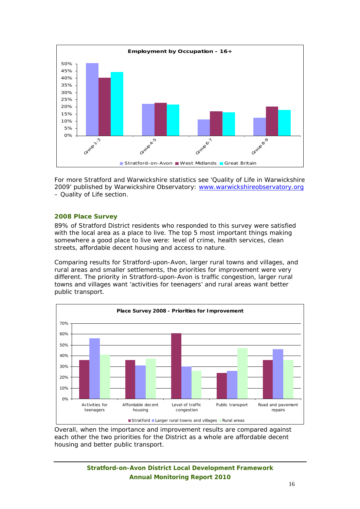

For more Stratford and Warwickshire statistics see 'Quality of Life in Warwickshire 2009' published by Warwickshire Observatory: www.warwickshireobservatory.org – Quality of Life section.

## **2008 Place Survey**

89% of Stratford District residents who responded to this survey were satisfied with the local area as a place to live. The top 5 most important things making somewhere a good place to live were: level of crime, health services, clean streets, affordable decent housing and access to nature.

Comparing results for Stratford-upon-Avon, larger rural towns and villages, and rural areas and smaller settlements, the priorities for improvement were very different. The priority in Stratford-upon-Avon is traffic congestion, larger rural towns and villages want 'activities for teenagers' and rural areas want better public transport.



Overall, when the importance and improvement results are compared against each other the two priorities for the District as a whole are affordable decent housing and better public transport.

> **Stratford-on-Avon District Local Development Framework Annual Monitoring Report 2010**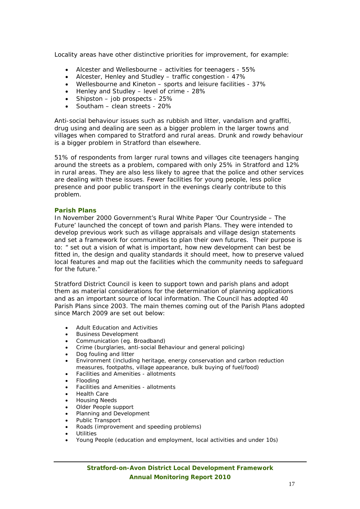Locality areas have other distinctive priorities for improvement, for example:

- Alcester and Wellesbourne activities for teenagers 55%
- Alcester, Henley and Studley traffic congestion 47%
- Wellesbourne and Kineton sports and leisure facilities 37%
- Henley and Studley level of crime 28%
- Shipston job prospects 25%
- Southam clean streets 20%

Anti-social behaviour issues such as rubbish and litter, vandalism and graffiti, drug using and dealing are seen as a bigger problem in the larger towns and villages when compared to Stratford and rural areas. Drunk and rowdy behaviour is a bigger problem in Stratford than elsewhere.

51% of respondents from larger rural towns and villages cite teenagers hanging around the streets as a problem, compared with only 25% in Stratford and 12% in rural areas. They are also less likely to agree that the police and other services are dealing with these issues. Fewer facilities for young people, less police presence and poor public transport in the evenings clearly contribute to this problem.

#### **Parish Plans**

In November 2000 Government's Rural White Paper '*Our Countryside – The Future'* launched the concept of town and parish Plans. They were intended to develop previous work such as village appraisals and village design statements and set a framework for communities to plan their own futures. Their purpose is to: *" set out a vision of what is important, how new development can best be fitted in, the design and quality standards it should meet, how to preserve valued local features and map out the facilities which the community needs to safequard for the future."* 

Stratford District Council is keen to support town and parish plans and adopt them as material considerations for the determination of planning applications and as an important source of local information. The Council has adopted 40 Parish Plans since 2003. The main themes coming out of the Parish Plans adopted since March 2009 are set out below:

- Adult Education and Activities
- Business Development
- Communication (eg. Broadband)
- Crime (burglaries, anti-social Behaviour and general policing)
- Dog fouling and litter
- Environment (including heritage, energy conservation and carbon reduction measures, footpaths, village appearance, bulk buying of fuel/food)
- Facilities and Amenities allotments
- Flooding
- Facilities and Amenities allotments
- Health Care
- Housing Needs
- Older People support
- Planning and Development
- Public Transport
- Roads (improvement and speeding problems)
- Utilities
- Young People (education and employment, local activities and under 10s)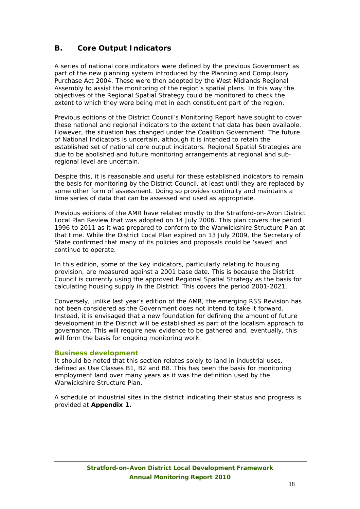## **B. Core Output Indicators**

A series of national core indicators were defined by the previous Government as part of the new planning system introduced by the Planning and Compulsory Purchase Act 2004. These were then adopted by the West Midlands Regional Assembly to assist the monitoring of the region's spatial plans. In this way the objectives of the Regional Spatial Strategy could be monitored to check the extent to which they were being met in each constituent part of the region.

Previous editions of the District Council's Monitoring Report have sought to cover these national and regional indicators to the extent that data has been available. However, the situation has changed under the Coalition Government. The future of National Indicators is uncertain, although it is intended to retain the established set of national core output indicators. Regional Spatial Strategies are due to be abolished and future monitoring arrangements at regional and subregional level are uncertain.

Despite this, it is reasonable and useful for these established indicators to remain the basis for monitoring by the District Council, at least until they are replaced by some other form of assessment. Doing so provides continuity and maintains a time series of data that can be assessed and used as appropriate.

Previous editions of the AMR have related mostly to the Stratford-on-Avon District Local Plan Review that was adopted on 14 July 2006. This plan covers the period 1996 to 2011 as it was prepared to conform to the Warwickshire Structure Plan at that time. While the District Local Plan expired on 13 July 2009, the Secretary of State confirmed that many of its policies and proposals could be 'saved' and continue to operate.

In this edition, some of the key indicators, particularly relating to housing provision, are measured against a 2001 base date. This is because the District Council is currently using the approved Regional Spatial Strategy as the basis for calculating housing supply in the District. This covers the period 2001-2021.

Conversely, unlike last year's edition of the AMR, the emerging RSS Revision has not been considered as the Government does not intend to take it forward. Instead, it is envisaged that a new foundation for defining the amount of future development in the District will be established as part of the localism approach to governance. This will require new evidence to be gathered and, eventually, this will form the basis for ongoing monitoring work.

## **Business development**

It should be noted that this section relates solely to land in industrial uses, defined as Use Classes B1, B2 and B8. This has been the basis for monitoring employment land over many years as it was the definition used by the Warwickshire Structure Plan.

A schedule of industrial sites in the district indicating their status and progress is provided at **Appendix 1.**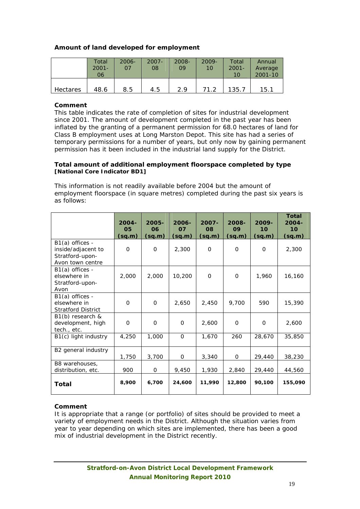## **Amount of land developed for employment**

|                 | Total<br>$2001 -$<br>06 | $2006 -$<br>07 | $2007 -$<br>08 | $2008 -$<br>09 | $2009 -$<br>10 | Total<br>$2001 -$<br>10 | Annual<br>Average<br>2001-10 |
|-----------------|-------------------------|----------------|----------------|----------------|----------------|-------------------------|------------------------------|
| <b>Hectares</b> | 48.6                    | 8.5            | 4.5            | 29             | ר 11           | 135.7                   | 15.1                         |

#### **Comment**

This table indicates the rate of completion of sites for industrial development since 2001. The amount of development completed in the past year has been inflated by the granting of a permanent permission for 68.0 hectares of land for Class B employment uses at Long Marston Depot. This site has had a series of temporary permissions for a number of years, but only now by gaining permanent permission has it been included in the industrial land supply for the District.

#### **Total amount of additional employment floorspace completed by type [National Core Indicator BD1]**

This information is not readily available before 2004 but the amount of employment floorspace (in square metres) completed during the past six years is as follows:

|                                                                                | $2004 -$<br>05<br>(sq.m) | $2005 -$<br>06<br>(sq.m) | $2006 -$<br>07<br>(sq.m) | $2007 -$<br>08<br>(sq.m) | 2008-<br>09<br>(sq.m) | 2009-<br>10<br>(sq.m) | <b>Total</b><br>$2004 -$<br>10 <sup>1</sup><br>(sq.m) |
|--------------------------------------------------------------------------------|--------------------------|--------------------------|--------------------------|--------------------------|-----------------------|-----------------------|-------------------------------------------------------|
| $B1(a)$ offices -<br>inside/adjacent to<br>Stratford-upon-<br>Avon town centre | $\Omega$                 | $\Omega$                 | 2,300                    | $\Omega$                 | $\Omega$              | $\Omega$              | 2,300                                                 |
| $B1(a)$ offices -<br>elsewhere in<br>Stratford-upon-<br>Avon                   | 2,000                    | 2,000                    | 10,200                   | $\Omega$                 | $\Omega$              | 1,960                 | 16,160                                                |
| $B1(a)$ offices -<br>elsewhere in<br><b>Stratford District</b>                 | $\Omega$                 | 0                        | 2,650                    | 2,450                    | 9,700                 | 590                   | 15,390                                                |
| B1(b) research &<br>development, high<br>tech., etc.                           | 0                        | $\mathbf 0$              | 0                        | 2,600                    | $\Omega$              | $\Omega$              | 2,600                                                 |
| B1(c) light industry                                                           | 4,250                    | 1,000                    | $\Omega$                 | 1,670                    | 260                   | 28,670                | 35,850                                                |
| B2 general industry                                                            | 1,750                    | 3,700                    | 0                        | 3,340                    | $\Omega$              | 29,440                | 38,230                                                |
| B8 warehouses,<br>distribution, etc.                                           | 900                      | 0                        | 9,450                    | 1,930                    | 2,840                 | 29,440                | 44,560                                                |
| Total                                                                          | 8,900                    | 6,700                    | 24,600                   | 11,990                   | 12,800                | 90,100                | 155,090                                               |

## **Comment**

It is appropriate that a range (or portfolio) of sites should be provided to meet a variety of employment needs in the District. Although the situation varies from year to year depending on which sites are implemented, there has been a good mix of industrial development in the District recently.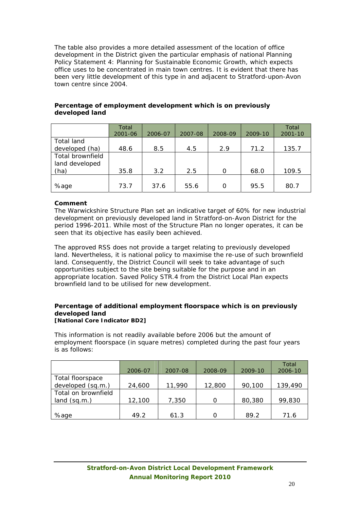The table also provides a more detailed assessment of the location of office development in the District given the particular emphasis of national Planning Policy Statement 4: Planning for Sustainable Economic Growth, which expects office uses to be concentrated in main town centres. It is evident that there has been very little development of this type in and adjacent to Stratford-upon-Avon town centre since 2004.

|                  | Total<br>2001-06 | 2006-07 | 2007-08 | 2008-09 | 2009-10 | Total<br>$2001 - 10$ |
|------------------|------------------|---------|---------|---------|---------|----------------------|
| Total land       |                  |         |         |         |         |                      |
| developed (ha)   | 48.6             | 8.5     | 4.5     | 2.9     | 71.2    | 135.7                |
| Total brownfield |                  |         |         |         |         |                      |
| land developed   |                  |         |         |         |         |                      |
| (ha)             | 35.8             | 3.2     | 2.5     | O       | 68.0    | 109.5                |
|                  |                  |         |         |         |         |                      |
| %age             | 73.7             | 37.6    | 55.6    | 0       | 95.5    | 80.7                 |

## **Percentage of employment development which is on previously developed land**

## **Comment**

The Warwickshire Structure Plan set an indicative target of 60% for new industrial development on previously developed land in Stratford-on-Avon District for the period 1996-2011. While most of the Structure Plan no longer operates, it can be seen that its objective has easily been achieved.

The approved RSS does not provide a target relating to previously developed land. Nevertheless, it is national policy to maximise the re-use of such brownfield land. Consequently, the District Council will seek to take advantage of such opportunities subject to the site being suitable for the purpose and in an appropriate location. Saved Policy STR.4 from the District Local Plan expects brownfield land to be utilised for new development.

#### **Percentage of additional employment floorspace which is on previously developed land [National Core Indicator BD2]**

This information is not readily available before 2006 but the amount of employment floorspace (in square metres) completed during the past four years is as follows:

|                     | 2006-07 | 2007-08 | 2008-09 | 2009-10 | Total<br>2006-10 |
|---------------------|---------|---------|---------|---------|------------------|
| Total floorspace    |         |         |         |         |                  |
| developed (sq.m.)   | 24,600  | 11,990  | 12,800  | 90,100  | 139,490          |
| Total on brownfield |         |         |         |         |                  |
| land (sq.m.)        | 12,100  | 7,350   |         | 80,380  | 99,830           |
|                     |         |         |         |         |                  |
| %age                | 49.2    | 61.3    |         | 89.2    | 71.6             |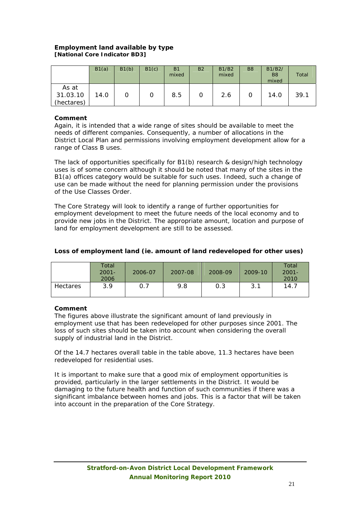## **Employment land available by type [National Core Indicator BD3]**

|                                 | B1(a) | B1(b) | B1(c) | <b>B1</b><br>mixed | <b>B2</b> | <b>B1/B2</b><br>mixed | B <sub>8</sub> | B1/B2/<br>B <sub>8</sub><br>mixed | Total |
|---------------------------------|-------|-------|-------|--------------------|-----------|-----------------------|----------------|-----------------------------------|-------|
| As at<br>31.03.10<br>(hectares) | 14.0  |       |       | 8.5                | 0         | 2.6                   |                | 14.0                              | 39.1  |

### **Comment**

Again, it is intended that a wide range of sites should be available to meet the needs of different companies. Consequently, a number of allocations in the District Local Plan and permissions involving employment development allow for a range of Class B uses.

The lack of opportunities specifically for B1(b) research & design/high technology uses is of some concern although it should be noted that many of the sites in the B1(a) offices category would be suitable for such uses. Indeed, such a change of use can be made without the need for planning permission under the provisions of the Use Classes Order.

The Core Strategy will look to identify a range of further opportunities for employment development to meet the future needs of the local economy and to provide new jobs in the District. The appropriate amount, location and purpose of land for employment development are still to be assessed.

| Loss of employment land (ie. amount of land redeveloped for other uses) |  |
|-------------------------------------------------------------------------|--|
|                                                                         |  |

|          | Total<br>$2001 -$<br>2006 | 2006-07 | 2007-08 | 2008-09 | 2009-10 | Total<br>$2001 -$<br>2010 |
|----------|---------------------------|---------|---------|---------|---------|---------------------------|
| Hectares | 3.9                       |         | 9.8     | 0.3     | 3.1     | 14.7                      |

## **Comment**

The figures above illustrate the significant amount of land previously in employment use that has been redeveloped for other purposes since 2001. The loss of such sites should be taken into account when considering the overall supply of industrial land in the District.

Of the 14.7 hectares overall table in the table above, 11.3 hectares have been redeveloped for residential uses.

It is important to make sure that a good mix of employment opportunities is provided, particularly in the larger settlements in the District. It would be damaging to the future health and function of such communities if there was a significant imbalance between homes and jobs. This is a factor that will be taken into account in the preparation of the Core Strategy.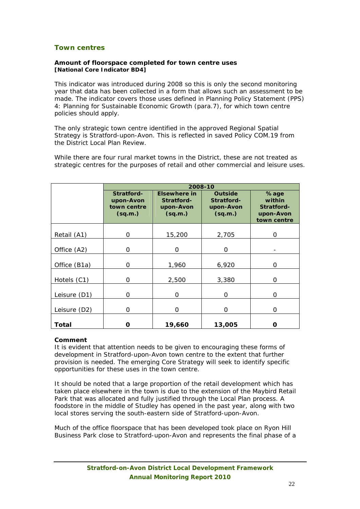## **Town centres**

#### **Amount of floorspace completed for town centre uses [National Core Indicator BD4]**

This indicator was introduced during 2008 so this is only the second monitoring year that data has been collected in a form that allows such an assessment to be made. The indicator covers those uses defined in Planning Policy Statement (PPS) 4: Planning for Sustainable Economic Growth (para.7), for which town centre policies should apply.

The only strategic town centre identified in the approved Regional Spatial Strategy is Stratford-upon-Avon. This is reflected in saved Policy COM.19 from the District Local Plan Review.

While there are four rural market towns in the District, these are not treated as strategic centres for the purposes of retail and other commercial and leisure uses.

|              | 2008-10                                           |                                                           |                                                      |                                                                 |  |
|--------------|---------------------------------------------------|-----------------------------------------------------------|------------------------------------------------------|-----------------------------------------------------------------|--|
|              | Stratford-<br>upon-Avon<br>town centre<br>(sq.m.) | <b>Elsewhere in</b><br>Stratford-<br>upon-Avon<br>(sq.m.) | <b>Outside</b><br>Stratford-<br>upon-Avon<br>(sq.m.) | %age<br>within<br><b>Stratford-</b><br>upon-Avon<br>town centre |  |
| Retail (A1)  | Ω                                                 | 15,200                                                    | 2,705                                                | O                                                               |  |
| Office (A2)  | O                                                 | 0                                                         | O                                                    |                                                                 |  |
| Office (B1a) | O                                                 | 1,960                                                     | 6,920                                                | $\Omega$                                                        |  |
| Hotels (C1)  | Ω                                                 | 2,500                                                     | 3,380                                                | Ω                                                               |  |
| Leisure (D1) | O                                                 | 0                                                         | 0                                                    | 0                                                               |  |
| Leisure (D2) | O                                                 | $\Omega$                                                  | $\Omega$                                             | $\Omega$                                                        |  |
| Total        | Π                                                 | 19,660                                                    | 13,005                                               | n                                                               |  |

#### **Comment**

It is evident that attention needs to be given to encouraging these forms of development in Stratford-upon-Avon town centre to the extent that further provision is needed. The emerging Core Strategy will seek to identify specific opportunities for these uses in the town centre.

It should be noted that a large proportion of the retail development which has taken place elsewhere in the town is due to the extension of the Maybird Retail Park that was allocated and fully justified through the Local Plan process. A foodstore in the middle of Studley has opened in the past year, along with two local stores serving the south-eastern side of Stratford-upon-Avon.

Much of the office floorspace that has been developed took place on Ryon Hill Business Park close to Stratford-upon-Avon and represents the final phase of a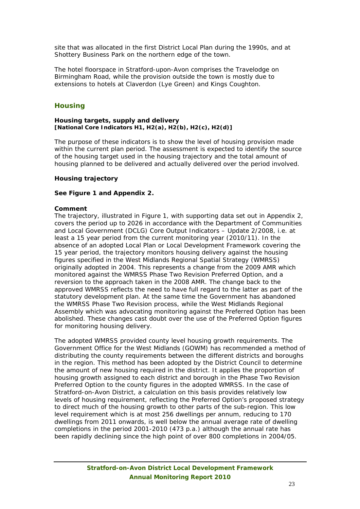site that was allocated in the first District Local Plan during the 1990s, and at Shottery Business Park on the northern edge of the town.

The hotel floorspace in Stratford-upon-Avon comprises the Travelodge on Birmingham Road, while the provision outside the town is mostly due to extensions to hotels at Claverdon (Lye Green) and Kings Coughton.

## **Housing**

#### **Housing targets, supply and delivery [National Core Indicators H1, H2(a), H2(b), H2(c), H2(d)]**

The purpose of these indicators is to show the level of housing provision made within the current plan period. The assessment is expected to identify the source of the housing target used in the housing trajectory and the total amount of housing planned to be delivered and actually delivered over the period involved.

#### **Housing trajectory**

#### **See Figure 1 and Appendix 2.**

#### **Comment**

The trajectory, illustrated in Figure 1, with supporting data set out in Appendix 2, covers the period up to 2026 in accordance with the Department of Communities and Local Government (DCLG) Core Output Indicators – Update 2/2008, i.e. at least a 15 year period from the current monitoring year (2010/11). In the absence of an adopted Local Plan or Local Development Framework covering the 15 year period, the trajectory monitors housing delivery against the housing figures specified in the West Midlands Regional Spatial Strategy (WMRSS) originally adopted in 2004. This represents a change from the 2009 AMR which monitored against the WMRSS Phase Two Revision Preferred Option, and a reversion to the approach taken in the 2008 AMR. The change back to the approved WMRSS reflects the need to have full regard to the latter as part of the statutory development plan. At the same time the Government has abandoned the WMRSS Phase Two Revision process, while the West Midlands Regional Assembly which was advocating monitoring against the Preferred Option has been abolished. These changes cast doubt over the use of the Preferred Option figures for monitoring housing delivery.

The adopted WMRSS provided county level housing growth requirements. The Government Office for the West Midlands (GOWM) has recommended a method of distributing the county requirements between the different districts and boroughs in the region. This method has been adopted by the District Council to determine the amount of new housing required in the district. It applies the proportion of housing growth assigned to each district and borough in the Phase Two Revision Preferred Option to the county figures in the adopted WMRSS. In the case of Stratford-on-Avon District, a calculation on this basis provides relatively low levels of housing requirement, reflecting the Preferred Option's proposed strategy to direct much of the housing growth to other parts of the sub-region. This low level requirement which is at most 256 dwellings per annum, reducing to 170 dwellings from 2011 onwards, is well below the annual average rate of dwelling completions in the period 2001-2010 (473 p.a.) although the annual rate has been rapidly declining since the high point of over 800 completions in 2004/05.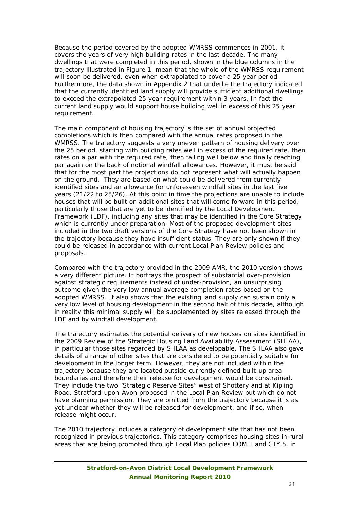Because the period covered by the adopted WMRSS commences in 2001, it covers the years of very high building rates in the last decade. The many dwellings that were completed in this period, shown in the blue columns in the trajectory illustrated in Figure 1, mean that the whole of the WMRSS requirement will soon be delivered, even when extrapolated to cover a 25 year period. Furthermore, the data shown in Appendix 2 that underlie the trajectory indicated that the currently identified land supply will provide sufficient additional dwellings to exceed the extrapolated 25 year requirement within 3 years. In fact the current land supply would support house building well in excess of this 25 year requirement.

The main component of housing trajectory is the set of annual projected completions which is then compared with the annual rates proposed in the WMRSS. The trajectory suggests a very uneven pattern of housing delivery over the 25 period, starting with building rates well in excess of the required rate, then rates on a par with the required rate, then falling well below and finally reaching par again on the back of notional windfall allowances. However, it must be said that for the most part the projections do not represent what will actually happen on the ground. They are based on what could be delivered from currently identified sites and an allowance for unforeseen windfall sites in the last five years (21/22 to 25/26). At this point in time the projections are unable to include houses that will be built on additional sites that will come forward in this period, particularly those that are yet to be identified by the Local Development Framework (LDF), including any sites that may be identified in the Core Strategy which is currently under preparation. Most of the proposed development sites included in the two draft versions of the Core Strategy have not been shown in the trajectory because they have insufficient status. They are only shown if they could be released in accordance with current Local Plan Review policies and proposals.

Compared with the trajectory provided in the 2009 AMR, the 2010 version shows a very different picture. It portrays the prospect of substantial over-provision against strategic requirements instead of under-provision, an unsurprising outcome given the very low annual average completion rates based on the adopted WMRSS. It also shows that the existing land supply can sustain only a very low level of housing development in the second half of this decade, although in reality this minimal supply will be supplemented by sites released through the LDF and by windfall development.

The trajectory estimates the potential delivery of new houses on sites identified in the 2009 Review of the Strategic Housing Land Availability Assessment (SHLAA), in particular those sites regarded by SHLAA as developable. The SHLAA also gave details of a range of other sites that are considered to be potentially suitable for development in the longer term. However, they are not included within the trajectory because they are located outside currently defined built-up area boundaries and therefore their release for development would be constrained. They include the two "Strategic Reserve Sites" west of Shottery and at Kipling Road, Stratford-upon-Avon proposed in the Local Plan Review but which do not have planning permission. They are omitted from the trajectory because it is as yet unclear whether they will be released for development, and if so, when release might occur.

The 2010 trajectory includes a category of development site that has not been recognized in previous trajectories. This category comprises housing sites in rural areas that are being promoted through Local Plan policies COM.1 and CTY.5, in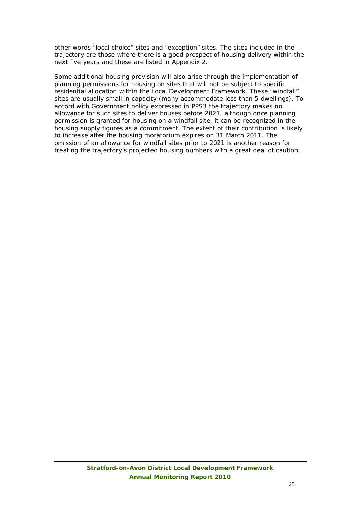other words "local choice" sites and "exception" sites. The sites included in the trajectory are those where there is a good prospect of housing delivery within the next five years and these are listed in Appendix 2.

Some additional housing provision will also arise through the implementation of planning permissions for housing on sites that will not be subject to specific residential allocation within the Local Development Framework. These "windfall" sites are usually small in capacity (many accommodate less than 5 dwellings). To accord with Government policy expressed in PPS3 the trajectory makes no allowance for such sites to deliver houses before 2021, although once planning permission is granted for housing on a windfall site, it can be recognized in the housing supply figures as a commitment. The extent of their contribution is likely to increase after the housing moratorium expires on 31 March 2011. The omission of an allowance for windfall sites prior to 2021 is another reason for treating the trajectory's projected housing numbers with a great deal of caution.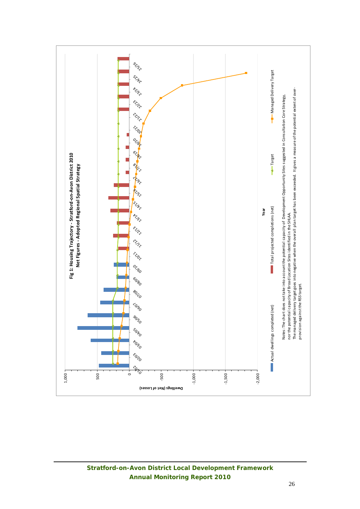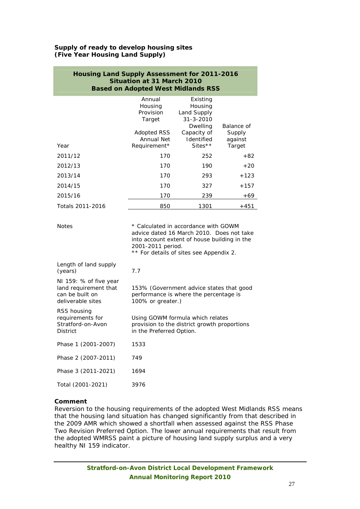### **Supply of ready to develop housing sites (Five Year Housing Land Supply)**

| <b>Housing Land Supply Assessment for 2011-2016</b><br><b>Situation at 31 March 2010</b><br><b>Based on Adopted West Midlands RSS</b> |                                                                                                                                                                                                   |                                                                                                |                                 |  |  |  |
|---------------------------------------------------------------------------------------------------------------------------------------|---------------------------------------------------------------------------------------------------------------------------------------------------------------------------------------------------|------------------------------------------------------------------------------------------------|---------------------------------|--|--|--|
|                                                                                                                                       | Annual<br>Housing<br>Provision<br>Target<br><b>Adopted RSS</b><br>Annual Net                                                                                                                      | Existing<br>Housing<br>Land Supply<br>$31 - 3 - 2010$<br>Dwelling<br>Capacity of<br>Identified | Balance of<br>Supply<br>against |  |  |  |
| Year                                                                                                                                  | Requirement*                                                                                                                                                                                      | Sites $*$                                                                                      | Target                          |  |  |  |
| 2011/12                                                                                                                               | 170                                                                                                                                                                                               | 252                                                                                            | $+82$                           |  |  |  |
| 2012/13                                                                                                                               | 170                                                                                                                                                                                               | 190                                                                                            | $+20$                           |  |  |  |
| 2013/14                                                                                                                               | 170                                                                                                                                                                                               | 293                                                                                            | $+123$                          |  |  |  |
| 2014/15                                                                                                                               | 170                                                                                                                                                                                               | 327                                                                                            | $+157$                          |  |  |  |
| 2015/16                                                                                                                               | 170                                                                                                                                                                                               | 239                                                                                            | +69                             |  |  |  |
| Totals 2011-2016                                                                                                                      | 850                                                                                                                                                                                               | 1301                                                                                           | +451                            |  |  |  |
| <b>Notes</b>                                                                                                                          | * Calculated in accordance with GOWM<br>advice dated 16 March 2010. Does not take<br>into account extent of house building in the<br>2001-2011 period.<br>** For details of sites see Appendix 2. |                                                                                                |                                 |  |  |  |
| Length of land supply<br>(years)                                                                                                      | 7.7                                                                                                                                                                                               |                                                                                                |                                 |  |  |  |
| NI 159: % of five year<br>land requirement that<br>can be built on<br>deliverable sites                                               | 100% or greater.)                                                                                                                                                                                 | 153% (Government advice states that good<br>performance is where the percentage is             |                                 |  |  |  |
| RSS housing<br>requirements for<br>Stratford-on-Avon<br>District                                                                      | Using GOWM formula which relates<br>provision to the district growth proportions<br>in the Preferred Option.                                                                                      |                                                                                                |                                 |  |  |  |
| Phase 1 (2001-2007)                                                                                                                   | 1533                                                                                                                                                                                              |                                                                                                |                                 |  |  |  |
| Phase 2 (2007-2011)                                                                                                                   | 749                                                                                                                                                                                               |                                                                                                |                                 |  |  |  |
| Phase 3 (2011-2021)                                                                                                                   | 1694                                                                                                                                                                                              |                                                                                                |                                 |  |  |  |
| Total (2001-2021)                                                                                                                     | 3976                                                                                                                                                                                              |                                                                                                |                                 |  |  |  |

## **Comment**

Reversion to the housing requirements of the adopted West Midlands RSS means that the housing land situation has changed significantly from that described in the 2009 AMR which showed a shortfall when assessed against the RSS Phase Two Revision Preferred Option. The lower annual requirements that result from the adopted WMRSS paint a picture of housing land supply surplus and a very healthy NI 159 indicator.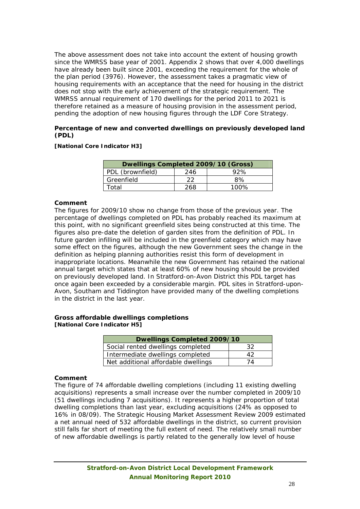The above assessment does not take into account the extent of housing growth since the WMRSS base year of 2001. Appendix 2 shows that over 4,000 dwellings have already been built since 2001, exceeding the requirement for the whole of the plan period (3976). However, the assessment takes a pragmatic view of housing requirements with an acceptance that the need for housing in the district does not stop with the early achievement of the strategic requirement. The WMRSS annual requirement of 170 dwellings for the period 2011 to 2021 is therefore retained as a measure of housing provision in the assessment period, pending the adoption of new housing figures through the LDF Core Strategy.

#### **Percentage of new and converted dwellings on previously developed land (PDL)**

#### **[National Core Indicator H3]**

| Dwellings Completed 2009/10 (Gross) |     |      |  |  |  |  |
|-------------------------------------|-----|------|--|--|--|--|
| PDL (brownfield)                    | 246 | 92%  |  |  |  |  |
| Greenfield                          | 22  | 8%   |  |  |  |  |
| Total                               | 268 | 100% |  |  |  |  |

#### **Comment**

The figures for 2009/10 show no change from those of the previous year. The percentage of dwellings completed on PDL has probably reached its maximum at this point, with no significant greenfield sites being constructed at this time. The figures also pre-date the deletion of garden sites from the definition of PDL. In future garden infilling will be included in the greenfield category which may have some effect on the figures, although the new Government sees the change in the definition as helping planning authorities resist this form of development in inappropriate locations. Meanwhile the new Government has retained the national annual target which states that at least 60% of new housing should be provided on previously developed land. In Stratford-on-Avon District this PDL target has once again been exceeded by a considerable margin. PDL sites in Stratford-upon-Avon, Southam and Tiddington have provided many of the dwelling completions in the district in the last year.

#### **Gross affordable dwellings completions [National Core Indicator H5]**

| Dwellings Completed 2009/10         |    |  |  |  |
|-------------------------------------|----|--|--|--|
| Social rented dwellings completed   | 32 |  |  |  |
| Intermediate dwellings completed    | 42 |  |  |  |
| Net additional affordable dwellings | 74 |  |  |  |

#### **Comment**

The figure of 74 affordable dwelling completions (including 11 existing dwelling acquisitions) represents a small increase over the number completed in 2009/10 (51 dwellings including 7 acquisitions). It represents a higher proportion of total dwelling completions than last year, excluding acquisitions (24% as opposed to 16% in 08/09). The Strategic Housing Market Assessment Review 2009 estimated a net annual need of 532 affordable dwellings in the district, so current provision still falls far short of meeting the full extent of need. The relatively small number of new affordable dwellings is partly related to the generally low level of house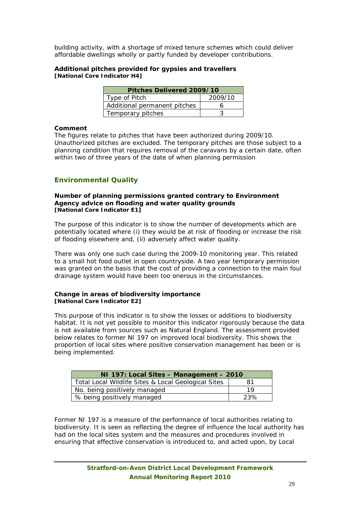building activity, with a shortage of mixed tenure schemes which could deliver affordable dwellings wholly or partly funded by developer contributions.

#### **Additional pitches provided for gypsies and travellers [National Core Indicator H4]**

| Pitches Delivered 2009/10    |  |  |  |  |
|------------------------------|--|--|--|--|
| 2009/10<br>Type of Pitch     |  |  |  |  |
| Additional permanent pitches |  |  |  |  |
| Temporary pitches            |  |  |  |  |

#### **Comment**

The figures relate to pitches that have been authorized during 2009/10. Unauthorized pitches are excluded. The temporary pitches are those subject to a planning condition that requires removal of the caravans by a certain date, often within two of three years of the date of when planning permission

## **Environmental Quality**

#### **Number of planning permissions granted contrary to Environment Agency advice on flooding and water quality grounds [National Core Indicator E1]**

The purpose of this indicator is to show the number of developments which are potentially located where (i) they would be at risk of flooding or increase the risk of flooding elsewhere and, (ii) adversely affect water quality.

There was only one such case during the 2009-10 monitoring year. This related to a small hot food outlet in open countryside. A two year temporary permission was granted on the basis that the cost of providing a connection to the main foul drainage system would have been too onerous in the circumstances.

#### **Change in areas of biodiversity importance [National Core Indicator E2]**

This purpose of this indicator is to show the losses or additions to biodiversity habitat. It is not yet possible to monitor this indicator rigorously because the data is not available from sources such as Natural England. The assessment provided below relates to former NI 197 on improved local biodiversity. This shows the proportion of local sites where positive conservation management has been or is being implemented.

| NI 197: Local Sites - Management - 2010             |      |  |  |  |
|-----------------------------------------------------|------|--|--|--|
| Total Local Wildlife Sites & Local Geological Sites | 81   |  |  |  |
| No. being positively managed                        | 1 Q  |  |  |  |
| % being positively managed                          | -23% |  |  |  |

Former NI 197 is a measure of the performance of local authorities relating to biodiversity. It is seen as reflecting the degree of influence the local authority has had on the local sites system and the measures and procedures involved in ensuring that effective conservation is introduced to, and acted upon, by Local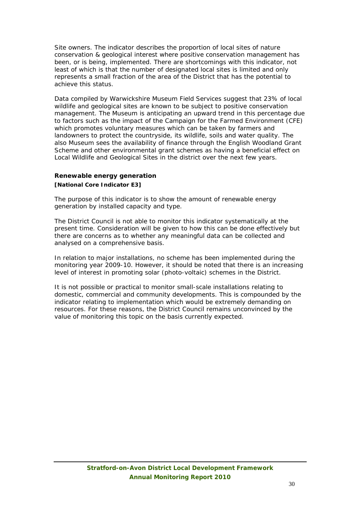Site owners. The indicator describes the proportion of local sites of nature conservation & geological interest where positive conservation management has been, or is being, implemented. There are shortcomings with this indicator, not least of which is that the number of designated local sites is limited and only represents a small fraction of the area of the District that has the potential to achieve this status.

Data compiled by Warwickshire Museum Field Services suggest that 23% of local wildlife and geological sites are known to be subject to positive conservation management. The Museum is anticipating an upward trend in this percentage due to factors such as the impact of the Campaign for the Farmed Environment (CFE) which promotes voluntary measures which can be taken by farmers and landowners to protect the countryside, its wildlife, soils and water quality. The also Museum sees the availability of finance through the English Woodland Grant Scheme and other environmental grant schemes as having a beneficial effect on Local Wildlife and Geological Sites in the district over the next few years.

## **Renewable energy generation [National Core Indicator E3]**

The purpose of this indicator is to show the amount of renewable energy generation by installed capacity and type.

The District Council is not able to monitor this indicator systematically at the present time. Consideration will be given to how this can be done effectively but there are concerns as to whether any meaningful data can be collected and analysed on a comprehensive basis.

In relation to major installations, no scheme has been implemented during the monitoring year 2009-10. However, it should be noted that there is an increasing level of interest in promoting solar (photo-voltaic) schemes in the District.

It is not possible or practical to monitor small-scale installations relating to domestic, commercial and community developments. This is compounded by the indicator relating to implementation which would be extremely demanding on resources. For these reasons, the District Council remains unconvinced by the value of monitoring this topic on the basis currently expected.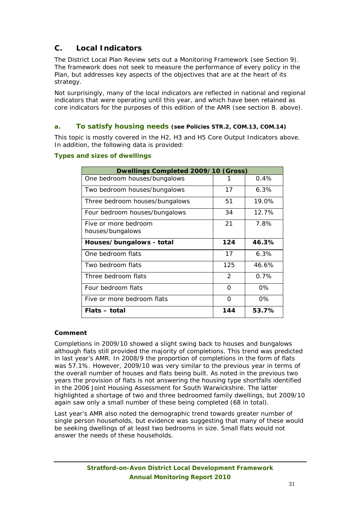## **C. Local Indicators**

The District Local Plan Review sets out a Monitoring Framework (see Section 9). The framework does not seek to measure the performance of every policy in the Plan, but addresses key aspects of the objectives that are at the heart of its strategy.

Not surprisingly, many of the local indicators are reflected in national and regional indicators that were operating until this year, and which have been retained as core indicators for the purposes of this edition of the AMR (see section B. above).

## **a. To satisfy housing needs (see Policies STR.2, COM.13, COM.14)**

This topic is mostly covered in the H2, H3 and H5 Core Output Indicators above. In addition, the following data is provided:

## **Types and sizes of dwellings**

| Dwellings Completed 2009/10 (Gross) |          |          |
|-------------------------------------|----------|----------|
| One bedroom houses/bungalows        |          | 0.4%     |
| Two bedroom houses/bungalows        | 17       | 6.3%     |
| Three bedroom houses/bungalows      | 51       | $19.0\%$ |
| Four bedroom houses/bungalows       | 34       | 12.7%    |
| Five or more bedroom                | 21       | 7.8%     |
| houses/bungalows                    |          |          |
| Houses/bungalows - total            | 124      | 46.3%    |
| One bedroom flats                   | 17       | 6.3%     |
| Two bedroom flats                   | 125      | 46.6%    |
| Three bedroom flats                 | 2        | 0.7%     |
| Four bedroom flats                  | O        | 0%       |
| Five or more bedroom flats          | $\Omega$ | $0\%$    |
| Flats - total                       | 144      | 53.7%    |

## **Comment**

Completions in 2009/10 showed a slight swing back to houses and bungalows although flats still provided the majority of completions. This trend was predicted in last year's AMR. In 2008/9 the proportion of completions in the form of flats was 57.1%. However, 2009/10 was very similar to the previous year in terms of the overall number of houses and flats being built. As noted in the previous two years the provision of flats is not answering the housing type shortfalls identified in the 2006 Joint Housing Assessment for South Warwickshire. The latter highlighted a shortage of two and three bedroomed family dwellings, but 2009/10 again saw only a small number of these being completed (68 in total).

Last year's AMR also noted the demographic trend towards greater number of single person households, but evidence was suggesting that many of these would be seeking dwellings of at least two bedrooms in size. Small flats would not answer the needs of these households.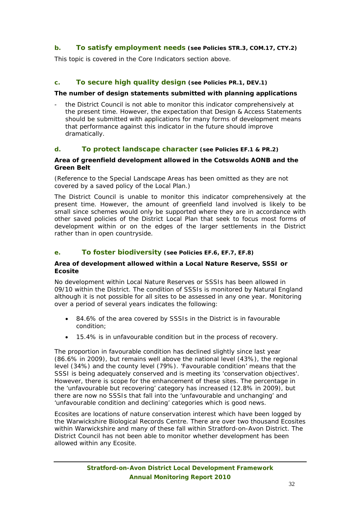## **b. To satisfy employment needs (see Policies STR.3, COM.17, CTY.2)**

This topic is covered in the Core Indicators section above.

## **c. To secure high quality design (see Policies PR.1, DEV.1)**

#### **The number of design statements submitted with planning applications**

- the District Council is not able to monitor this indicator comprehensively at the present time. However, the expectation that Design & Access Statements should be submitted with applications for many forms of development means that performance against this indicator in the future should improve dramatically.

#### **d. To protect landscape character (see Policies EF.1 & PR.2)**

#### **Area of greenfield development allowed in the Cotswolds AONB and the Green Belt**

(Reference to the Special Landscape Areas has been omitted as they are not covered by a saved policy of the Local Plan.)

The District Council is unable to monitor this indicator comprehensively at the present time. However, the amount of greenfield land involved is likely to be small since schemes would only be supported where they are in accordance with other saved policies of the District Local Plan that seek to focus most forms of development within or on the edges of the larger settlements in the District rather than in open countryside.

### **e. To foster biodiversity (see Policies EF.6, EF.7, EF.8)**

#### **Area of development allowed within a Local Nature Reserve, SSSI or Ecosite**

No development within Local Nature Reserves or SSSIs has been allowed in 09/10 within the District. The condition of SSSIs is monitored by Natural England although it is not possible for all sites to be assessed in any one year. Monitoring over a period of several years indicates the following:

- 84.6% of the area covered by SSSIs in the District is in favourable condition;
- 15.4% is in unfavourable condition but in the process of recovery.

The proportion in favourable condition has declined slightly since last year (86.6% in 2009), but remains well above the national level (43%), the regional level (34%) and the county level (79%). 'Favourable condition' means that the SSSI is being adequately conserved and is meeting its 'conservation objectives'. However, there is scope for the enhancement of these sites. The percentage in the 'unfavourable but recovering' category has increased (12.8% in 2009), but there are now no SSSIs that fall into the 'unfavourable and unchanging' and 'unfavourable condition and declining' categories which is good news.

Ecosites are locations of nature conservation interest which have been logged by the Warwickshire Biological Records Centre. There are over two thousand Ecosites within Warwickshire and many of these fall within Stratford-on-Avon District. The District Council has not been able to monitor whether development has been allowed within any Ecosite.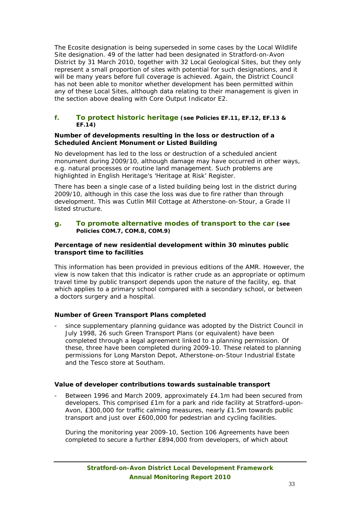The Ecosite designation is being superseded in some cases by the Local Wildlife Site designation. 49 of the latter had been designated in Stratford-on-Avon District by 31 March 2010, together with 32 Local Geological Sites, but they only represent a small proportion of sites with potential for such designations, and it will be many years before full coverage is achieved. Again, the District Council has not been able to monitor whether development has been permitted within any of these Local Sites, although data relating to their management is given in the section above dealing with Core Output Indicator E2.

#### **f. To protect historic heritage (see Policies EF.11, EF.12, EF.13 & EF.14)**

#### **Number of developments resulting in the loss or destruction of a Scheduled Ancient Monument or Listed Building**

No development has led to the loss or destruction of a scheduled ancient monument during 2009/10, although damage may have occurred in other ways, e.g. natural processes or routine land management. Such problems are highlighted in English Heritage's 'Heritage at Risk' Register.

There has been a single case of a listed building being lost in the district during 2009/10, although in this case the loss was due to fire rather than through development. This was Cutlin Mill Cottage at Atherstone-on-Stour, a Grade II listed structure.

#### **g. To promote alternative modes of transport to the car (see Policies COM.7, COM.8, COM.9)**

#### **Percentage of new residential development within 30 minutes public transport time to facilities**

This information has been provided in previous editions of the AMR. However, the view is now taken that this indicator is rather crude as an appropriate or optimum travel time by public transport depends upon the nature of the facility, eg. that which applies to a primary school compared with a secondary school, or between a doctors surgery and a hospital.

## **Number of Green Transport Plans completed**

since supplementary planning quidance was adopted by the District Council in July 1998, 26 such Green Transport Plans (or equivalent) have been completed through a legal agreement linked to a planning permission. Of these, three have been completed during 2009-10. These related to planning permissions for Long Marston Depot, Atherstone-on-Stour Industrial Estate and the Tesco store at Southam.

#### **Value of developer contributions towards sustainable transport**

Between 1996 and March 2009, approximately £4.1m had been secured from developers. This comprised £1m for a park and ride facility at Stratford-upon-Avon, £300,000 for traffic calming measures, nearly £1.5m towards public transport and just over £600,000 for pedestrian and cycling facilities.

During the monitoring year 2009-10, Section 106 Agreements have been completed to secure a further £894,000 from developers, of which about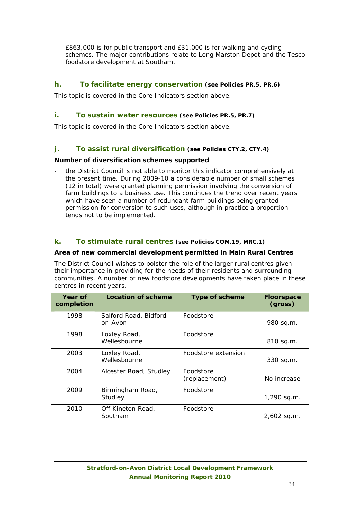£863,000 is for public transport and £31,000 is for walking and cycling schemes. The major contributions relate to Long Marston Depot and the Tesco foodstore development at Southam.

## **h. To facilitate energy conservation (see Policies PR.5, PR.6)**

This topic is covered in the Core Indicators section above.

### **i. To sustain water resources (see Policies PR.5, PR.7)**

This topic is covered in the Core Indicators section above.

## **j. To assist rural diversification (see Policies CTY.2, CTY.4)**

#### **Number of diversification schemes supported**

- the District Council is not able to monitor this indicator comprehensively at the present time. During 2009-10 a considerable number of small schemes (12 in total) were granted planning permission involving the conversion of farm buildings to a business use. This continues the trend over recent years which have seen a number of redundant farm buildings being granted permission for conversion to such uses, although in practice a proportion tends not to be implemented.

## **k. To stimulate rural centres (see Policies COM.19, MRC.1)**

#### **Area of new commercial development permitted in Main Rural Centres**

The District Council wishes to bolster the role of the larger rural centres given their importance in providing for the needs of their residents and surrounding communities. A number of new foodstore developments have taken place in these centres in recent years.

| Year of<br>completion | <b>Location of scheme</b>         | <b>Type of scheme</b>      | <b>Floorspace</b><br>(gross) |
|-----------------------|-----------------------------------|----------------------------|------------------------------|
| 1998                  | Salford Road, Bidford-<br>on-Avon | Foodstore                  | 980 sq.m.                    |
| 1998                  | Loxley Road,<br>Wellesbourne      | Foodstore                  | 810 sq.m.                    |
| 2003                  | Loxley Road,<br>Wellesbourne      | Foodstore extension        | 330 sq.m.                    |
| 2004                  | Alcester Road, Studley            | Foodstore<br>(replacement) | No increase                  |
| 2009                  | Birmingham Road,<br>Studley       | Foodstore                  | 1,290 sq.m.                  |
| 2010                  | Off Kineton Road,<br>Southam      | Foodstore                  | 2,602 sq.m.                  |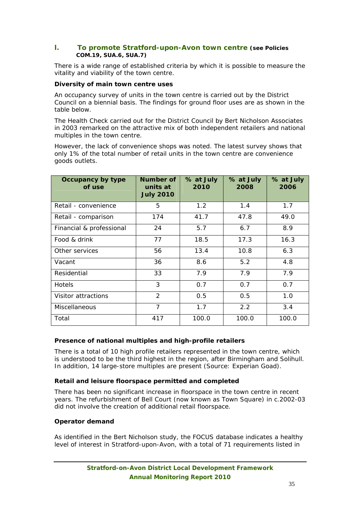### **l. To promote Stratford-upon-Avon town centre (see Policies COM.19, SUA.6, SUA.7)**

There is a wide range of established criteria by which it is possible to measure the vitality and viability of the town centre.

#### **Diversity of main town centre uses**

An occupancy survey of units in the town centre is carried out by the District Council on a biennial basis. The findings for ground floor uses are as shown in the table below.

The Health Check carried out for the District Council by Bert Nicholson Associates in 2003 remarked on the attractive mix of both independent retailers and national multiples in the town centre.

However, the lack of convenience shops was noted. The latest survey shows that only 1% of the total number of retail units in the town centre are convenience goods outlets.

| Occupancy by type<br>of use | Number of<br>units at<br><b>July 2010</b> | % at July<br>2010 | % at July<br>2008 | % at July<br>2006 |
|-----------------------------|-------------------------------------------|-------------------|-------------------|-------------------|
| Retail - convenience        | 5                                         | 1.2               | 1.4               | 1.7               |
| Retail - comparison         | 174                                       | 41.7              | 47.8              | 49.0              |
| Financial & professional    | 24                                        | 5.7               | 6.7               | 8.9               |
| Food & drink                | 77                                        | 18.5              | 17.3              | 16.3              |
| Other services              | 56                                        | 13.4              | 10.8              | 6.3               |
| Vacant                      | 36                                        | 8.6               | 5.2               | 4.8               |
| Residential                 | 33                                        | 7.9               | 7.9               | 7.9               |
| <b>Hotels</b>               | 3                                         | 0.7               | 0.7               | 0.7               |
| Visitor attractions         | $\mathcal{P}$                             | 0.5               | 0.5               | 1.0               |
| <b>Miscellaneous</b>        | $\overline{7}$                            | 1.7               | 2.2               | 3.4               |
| Total                       | 417                                       | 100.0             | 100.0             | 100.0             |

## **Presence of national multiples and high-profile retailers**

There is a total of 10 high profile retailers represented in the town centre, which is understood to be the third highest in the region, after Birmingham and Solihull. In addition, 14 large-store multiples are present (Source: Experian Goad).

#### **Retail and leisure floorspace permitted and completed**

There has been no significant increase in floorspace in the town centre in recent years. The refurbishment of Bell Court (now known as Town Square) in c.2002-03 did not involve the creation of additional retail floorspace.

#### **Operator demand**

As identified in the Bert Nicholson study, the FOCUS database indicates a healthy level of interest in Stratford-upon-Avon, with a total of 71 requirements listed in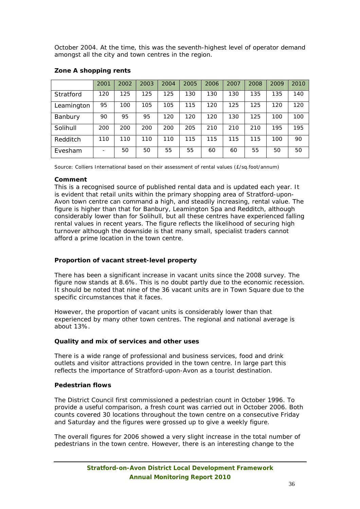October 2004. At the time, this was the seventh-highest level of operator demand amongst all the city and town centres in the region.

|            | 2001 | 2002 | 2003 | 2004 | 2005 | 2006 | 2007 | 2008 | 2009 | 2010 |
|------------|------|------|------|------|------|------|------|------|------|------|
| Stratford  | 120  | 125  | 125  | 125  | 130  | 130  | 130  | 135  | 135  | 140  |
| Leamington | 95   | 100  | 105  | 105  | 115  | 120  | 125  | 125  | 120  | 120  |
| Banbury    | 90   | 95   | 95   | 120  | 120  | 120  | 130  | 125  | 100  | 100  |
| Solihull   | 200  | 200  | 200  | 200  | 205  | 210  | 210  | 210  | 195  | 195  |
| Redditch   | 110  | 110  | 110  | 110  | 115  | 115  | 115  | 115  | 100  | 90   |
| Evesham    |      | 50   | 50   | 55   | 55   | 60   | 60   | 55   | 50   | 50   |

### **Zone A shopping rents**

Source: Colliers International based on their assessment of rental values (£/sq.foot/annum)

#### **Comment**

This is a recognised source of published rental data and is updated each year. It is evident that retail units within the primary shopping area of Stratford-upon-Avon town centre can command a high, and steadily increasing, rental value. The figure is higher than that for Banbury, Leamington Spa and Redditch, although considerably lower than for Solihull, but all these centres have experienced falling rental values in recent years. The figure reflects the likelihood of securing high turnover although the downside is that many small, specialist traders cannot afford a prime location in the town centre.

## **Proportion of vacant street-level property**

There has been a significant increase in vacant units since the 2008 survey. The figure now stands at 8.6%. This is no doubt partly due to the economic recession. It should be noted that nine of the 36 vacant units are in Town Square due to the specific circumstances that it faces.

However, the proportion of vacant units is considerably lower than that experienced by many other town centres. The regional and national average is about 13%.

## **Quality and mix of services and other uses**

There is a wide range of professional and business services, food and drink outlets and visitor attractions provided in the town centre. In large part this reflects the importance of Stratford-upon-Avon as a tourist destination.

#### **Pedestrian flows**

The District Council first commissioned a pedestrian count in October 1996. To provide a useful comparison, a fresh count was carried out in October 2006. Both counts covered 30 locations throughout the town centre on a consecutive Friday and Saturday and the figures were grossed up to give a weekly figure.

The overall figures for 2006 showed a very slight increase in the total number of pedestrians in the town centre. However, there is an interesting change to the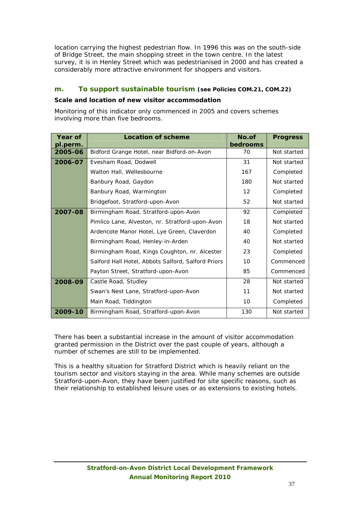location carrying the highest pedestrian flow. In 1996 this was on the south-side of Bridge Street, the main shopping street in the town centre. In the latest survey, it is in Henley Street which was pedestrianised in 2000 and has created a considerably more attractive environment for shoppers and visitors.

## **m. To support sustainable tourism (see Policies COM.21, COM.22)**

#### **Scale and location of new visitor accommodation**

Monitoring of this indicator only commenced in 2005 and covers schemes involving more than five bedrooms.

| Year of<br>pl.perm. | <b>Location of scheme</b>                          | No.of<br>bedrooms | <b>Progress</b> |
|---------------------|----------------------------------------------------|-------------------|-----------------|
| 2005-06             | Bidford Grange Hotel, near Bidford-on-Avon         | 70                | Not started     |
| 2006-07             | Evesham Road, Dodwell                              | 31                | Not started     |
|                     | Walton Hall, Wellesbourne                          | 167               | Completed       |
|                     | Banbury Road, Gaydon                               | 180               | Not started     |
|                     | Banbury Road, Warmington                           | 12                | Completed       |
|                     | Bridgefoot, Stratford-upon-Avon                    | 52                | Not started     |
| 2007-08             | Birmingham Road, Stratford-upon-Avon               | 92                | Completed       |
|                     | Pimlico Lane, Alveston, nr. Stratford-upon-Avon    | 18                | Not started     |
|                     | Ardencote Manor Hotel, Lye Green, Claverdon        | 40                | Completed       |
|                     | Birmingham Road, Henley-in-Arden                   | 40                | Not started     |
|                     | Birmingham Road, Kings Coughton, nr. Alcester      | 23                | Completed       |
|                     | Salford Hall Hotel, Abbots Salford, Salford Priors | 10                | Commenced       |
|                     | Payton Street, Stratford-upon-Avon                 | 85                | Commenced       |
| 2008-09             | Castle Road, Studley                               | 28                | Not started     |
|                     | Swan's Nest Lane, Stratford-upon-Avon              | 11                | Not started     |
|                     | Main Road, Tiddington                              | 10                | Completed       |
| 2009-10             | Birmingham Road, Stratford-upon-Avon               | 130               | Not started     |

There has been a substantial increase in the amount of visitor accommodation granted permission in the District over the past couple of years, although a number of schemes are still to be implemented.

This is a healthy situation for Stratford District which is heavily reliant on the tourism sector and visitors staying in the area. While many schemes are outside Stratford-upon-Avon, they have been justified for site specific reasons, such as their relationship to established leisure uses or as extensions to existing hotels.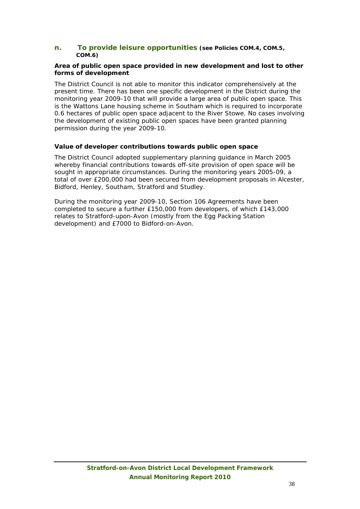#### **n. To provide leisure opportunities (see Policies COM.4, COM.5, COM.6)**

#### **Area of public open space provided in new development and lost to other forms of development**

The District Council is not able to monitor this indicator comprehensively at the present time. There has been one specific development in the District during the monitoring year 2009-10 that will provide a large area of public open space. This is the Wattons Lane housing scheme in Southam which is required to incorporate 0.6 hectares of public open space adjacent to the River Stowe. No cases involving the development of existing public open spaces have been granted planning permission during the year 2009-10.

#### **Value of developer contributions towards public open space**

The District Council adopted supplementary planning guidance in March 2005 whereby financial contributions towards off-site provision of open space will be sought in appropriate circumstances. During the monitoring years 2005-09, a total of over £200,000 had been secured from development proposals in Alcester, Bidford, Henley, Southam, Stratford and Studley.

During the monitoring year 2009-10, Section 106 Agreements have been completed to secure a further £150,000 from developers, of which £143,000 relates to Stratford-upon-Avon (mostly from the Egg Packing Station development) and £7000 to Bidford-on-Avon.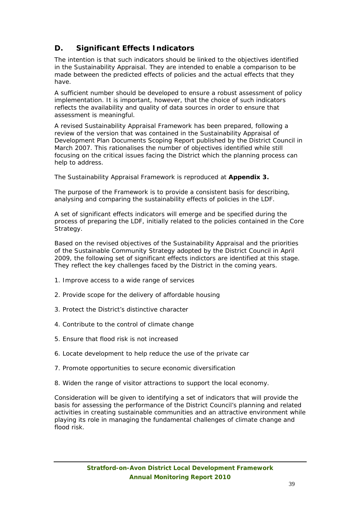## **D. Significant Effects Indicators**

The intention is that such indicators should be linked to the objectives identified in the Sustainability Appraisal. They are intended to enable a comparison to be made between the predicted effects of policies and the actual effects that they have.

A sufficient number should be developed to ensure a robust assessment of policy implementation. It is important, however, that the choice of such indicators reflects the availability and quality of data sources in order to ensure that assessment is meaningful.

A revised Sustainability Appraisal Framework has been prepared, following a review of the version that was contained in the Sustainability Appraisal of Development Plan Documents Scoping Report published by the District Council in March 2007. This rationalises the number of objectives identified while still focusing on the critical issues facing the District which the planning process can help to address.

The Sustainability Appraisal Framework is reproduced at **Appendix 3.**

The purpose of the Framework is to provide a consistent basis for describing, analysing and comparing the sustainability effects of policies in the LDF.

A set of significant effects indicators will emerge and be specified during the process of preparing the LDF, initially related to the policies contained in the Core Strategy.

Based on the revised objectives of the Sustainability Appraisal and the priorities of the Sustainable Community Strategy adopted by the District Council in April 2009, the following set of significant effects indictors are identified at this stage. They reflect the key challenges faced by the District in the coming years.

- 1. Improve access to a wide range of services
- 2. Provide scope for the delivery of affordable housing
- 3. Protect the District's distinctive character
- 4. Contribute to the control of climate change
- 5. Ensure that flood risk is not increased
- 6. Locate development to help reduce the use of the private car
- 7. Promote opportunities to secure economic diversification
- 8. Widen the range of visitor attractions to support the local economy.

Consideration will be given to identifying a set of indicators that will provide the basis for assessing the performance of the District Council's planning and related activities in creating sustainable communities and an attractive environment while playing its role in managing the fundamental challenges of climate change and flood risk.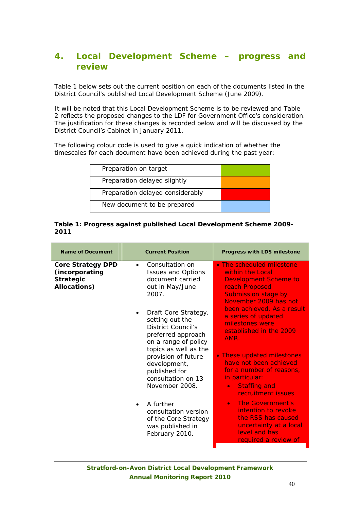## **4. Local Development Scheme – progress and review**

Table 1 below sets out the current position on each of the documents listed in the District Council's published Local Development Scheme (June 2009).

It will be noted that this Local Development Scheme is to be reviewed and Table 2 reflects the proposed changes to the LDF for Government Office's consideration. The justification for these changes is recorded below and will be discussed by the District Council's Cabinet in January 2011.

The following colour code is used to give a quick indication of whether the timescales for each document have been achieved during the past year:

| Preparation on target            |  |
|----------------------------------|--|
| Preparation delayed slightly     |  |
| Preparation delayed considerably |  |
| New document to be prepared      |  |
|                                  |  |

#### **Table 1: Progress against published Local Development Scheme 2009- 2011**

| <b>Name of Document</b>                                                        | <b>Current Position</b>                                                                                                                                                                                                                                                                                                                                                                                                                                                  | <b>Progress with LDS milestone</b>                                                                                                                                                                                                                                                                                                                                                                                                                                                                                                                                                 |
|--------------------------------------------------------------------------------|--------------------------------------------------------------------------------------------------------------------------------------------------------------------------------------------------------------------------------------------------------------------------------------------------------------------------------------------------------------------------------------------------------------------------------------------------------------------------|------------------------------------------------------------------------------------------------------------------------------------------------------------------------------------------------------------------------------------------------------------------------------------------------------------------------------------------------------------------------------------------------------------------------------------------------------------------------------------------------------------------------------------------------------------------------------------|
| <b>Core Strategy DPD</b><br>(incorporating<br><b>Strategic</b><br>Allocations) | Consultation on<br>$\bullet$<br><b>Issues and Options</b><br>document carried<br>out in May/June<br>2007.<br>Draft Core Strategy,<br>$\bullet$<br>setting out the<br><b>District Council's</b><br>preferred approach<br>on a range of policy<br>topics as well as the<br>provision of future<br>development,<br>published for<br>consultation on 13<br>November 2008.<br>A further<br>consultation version<br>of the Core Strategy<br>was published in<br>February 2010. | • The scheduled milestone<br>within the Local<br><b>Development Scheme to</b><br>reach Proposed<br><b>Submission stage by</b><br>November 2009 has not<br>been achieved. As a result<br>a series of updated<br>milestones were<br>established in the 2009<br>AMR.<br>• These updated milestones<br>have not been achieved<br>for a number of reasons,<br>in particular:<br><b>Staffing and</b><br>$\bullet$<br>recruitment issues<br>The Government's<br>$\bullet$<br>intention to revoke<br>the RSS has caused<br>uncertainty at a local<br>level and has<br>required a review of |
|                                                                                |                                                                                                                                                                                                                                                                                                                                                                                                                                                                          |                                                                                                                                                                                                                                                                                                                                                                                                                                                                                                                                                                                    |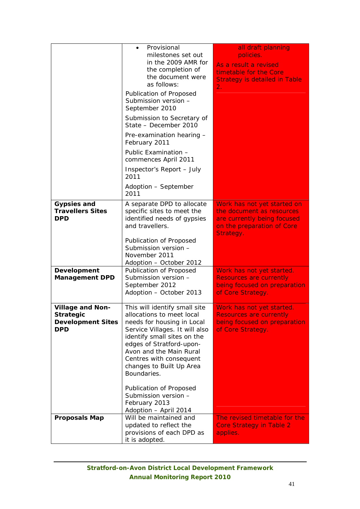|                                                                                       | Provisional<br>$\bullet$<br>milestones set out<br>in the 2009 AMR for<br>the completion of<br>the document were<br>as follows:<br>Publication of Proposed<br>Submission version -<br>September 2010<br>Submission to Secretary of<br>State - December 2010<br>Pre-examination hearing -<br>February 2011<br>Public Examination -<br>commences April 2011<br>Inspector's Report - July<br>2011 | all draft planning<br>policies.<br>As a result a revised<br>timetable for the Core<br><b>Strategy is detailed in Table</b><br>2.   |
|---------------------------------------------------------------------------------------|-----------------------------------------------------------------------------------------------------------------------------------------------------------------------------------------------------------------------------------------------------------------------------------------------------------------------------------------------------------------------------------------------|------------------------------------------------------------------------------------------------------------------------------------|
|                                                                                       | Adoption - September<br>2011                                                                                                                                                                                                                                                                                                                                                                  |                                                                                                                                    |
| <b>Gypsies and</b><br><b>Travellers Sites</b><br><b>DPD</b>                           | A separate DPD to allocate<br>specific sites to meet the<br>identified needs of gypsies<br>and travellers.<br>Publication of Proposed<br>Submission version -<br>November 2011                                                                                                                                                                                                                | Work has not yet started on<br>the document as resources<br>are currently being focused<br>on the preparation of Core<br>Strategy. |
| Development<br><b>Management DPD</b>                                                  | Adoption - October 2012<br>Publication of Proposed<br>Submission version -                                                                                                                                                                                                                                                                                                                    | Work has not yet started.<br><b>Resources are currently</b>                                                                        |
|                                                                                       | September 2012<br>Adoption - October 2013                                                                                                                                                                                                                                                                                                                                                     | being focused on preparation<br>of Core Strategy.                                                                                  |
| <b>Village and Non-</b><br><b>Strategic</b><br><b>Development Sites</b><br><b>DPD</b> | This will identify small site<br>allocations to meet local<br>needs for housing in Local<br>Service Villages. It will also<br>identify small sites on the<br>edges of Stratford-upon-<br>Avon and the Main Rural<br>Centres with consequent<br>changes to Built Up Area<br>Boundaries.<br>Publication of Proposed                                                                             | Work has not yet started.<br>Resources are currently<br>being focused on preparation<br>of Core Strategy.                          |
|                                                                                       | Submission version -<br>February 2013<br>Adoption - April 2014                                                                                                                                                                                                                                                                                                                                |                                                                                                                                    |
| <b>Proposals Map</b>                                                                  | Will be maintained and<br>updated to reflect the<br>provisions of each DPD as<br>it is adopted.                                                                                                                                                                                                                                                                                               | The revised timetable for the<br><b>Core Strategy in Table 2</b><br>applies.                                                       |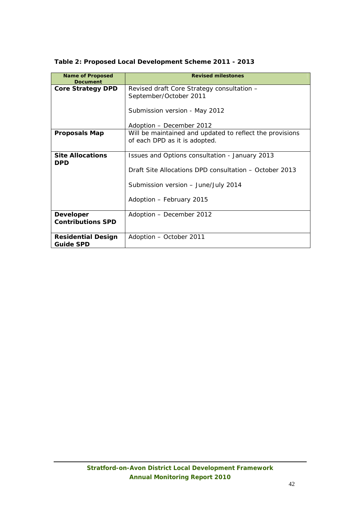| <b>Name of Proposed</b><br>Document           | <b>Revised milestones</b>                                                                 |
|-----------------------------------------------|-------------------------------------------------------------------------------------------|
| <b>Core Strategy DPD</b>                      | Revised draft Core Strategy consultation -<br>September/October 2011                      |
|                                               | Submission version - May 2012                                                             |
|                                               | Adoption - December 2012                                                                  |
| <b>Proposals Map</b>                          | Will be maintained and updated to reflect the provisions<br>of each DPD as it is adopted. |
| <b>Site Allocations</b><br><b>DPD</b>         | Issues and Options consultation - January 2013                                            |
|                                               | Draft Site Allocations DPD consultation – October 2013                                    |
|                                               | Submission version - June/July 2014                                                       |
|                                               | Adoption - February 2015                                                                  |
| <b>Developer</b><br><b>Contributions SPD</b>  | Adoption - December 2012                                                                  |
|                                               |                                                                                           |
| <b>Residential Design</b><br><b>Guide SPD</b> | Adoption – October 2011                                                                   |

## **Table 2: Proposed Local Development Scheme 2011 - 2013**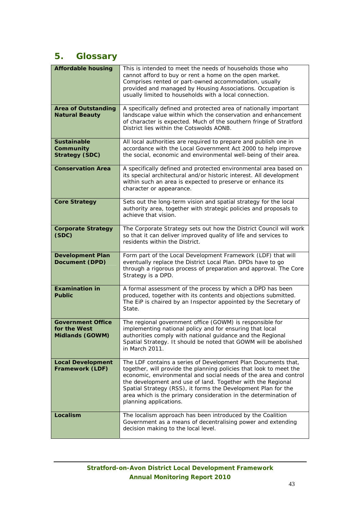## **5. Glossary**

| <b>Affordable housing</b>                                   | This is intended to meet the needs of households those who<br>cannot afford to buy or rent a home on the open market.<br>Comprises rented or part-owned accommodation, usually<br>provided and managed by Housing Associations. Occupation is<br>usually limited to households with a local connection.                                                                                                                              |
|-------------------------------------------------------------|--------------------------------------------------------------------------------------------------------------------------------------------------------------------------------------------------------------------------------------------------------------------------------------------------------------------------------------------------------------------------------------------------------------------------------------|
| <b>Area of Outstanding</b><br><b>Natural Beauty</b>         | A specifically defined and protected area of nationally important<br>landscape value within which the conservation and enhancement<br>of character is expected. Much of the southern fringe of Stratford<br>District lies within the Cotswolds AONB.                                                                                                                                                                                 |
| <b>Sustainable</b><br>Community<br><b>Strategy (SDC)</b>    | All local authorities are required to prepare and publish one in<br>accordance with the Local Government Act 2000 to help improve<br>the social, economic and environmental well-being of their area.                                                                                                                                                                                                                                |
| <b>Conservation Area</b>                                    | A specifically defined and protected environmental area based on<br>its special architectural and/or historic interest. All development<br>within such an area is expected to preserve or enhance its<br>character or appearance.                                                                                                                                                                                                    |
| <b>Core Strategy</b>                                        | Sets out the long-term vision and spatial strategy for the local<br>authority area, together with strategic policies and proposals to<br>achieve that vision.                                                                                                                                                                                                                                                                        |
| <b>Corporate Strategy</b><br>(SDC)                          | The Corporate Strategy sets out how the District Council will work<br>so that it can deliver improved quality of life and services to<br>residents within the District.                                                                                                                                                                                                                                                              |
| <b>Development Plan</b><br>Document (DPD)                   | Form part of the Local Development Framework (LDF) that will<br>eventually replace the District Local Plan. DPDs have to go<br>through a rigorous process of preparation and approval. The Core<br>Strategy is a DPD.                                                                                                                                                                                                                |
| <b>Examination in</b><br><b>Public</b>                      | A formal assessment of the process by which a DPD has been<br>produced, together with its contents and objections submitted.<br>The EiP is chaired by an Inspector appointed by the Secretary of<br>State.                                                                                                                                                                                                                           |
| <b>Government Office</b><br>for the West<br>Midlands (GOWM) | The regional government office (GOWM) is responsible for<br>implementing national policy and for ensuring that local<br>authorities comply with national guidance and the Regional<br>Spatial Strategy. It should be noted that GOWM will be abolished<br>in March 2011.                                                                                                                                                             |
| <b>Local Development</b><br>Framework (LDF)                 | The LDF contains a series of Development Plan Documents that,<br>together, will provide the planning policies that look to meet the<br>economic, environmental and social needs of the area and control<br>the development and use of land. Together with the Regional<br>Spatial Strategy (RSS), it forms the Development Plan for the<br>area which is the primary consideration in the determination of<br>planning applications. |
| Localism                                                    | The localism approach has been introduced by the Coalition<br>Government as a means of decentralising power and extending<br>decision making to the local level.                                                                                                                                                                                                                                                                     |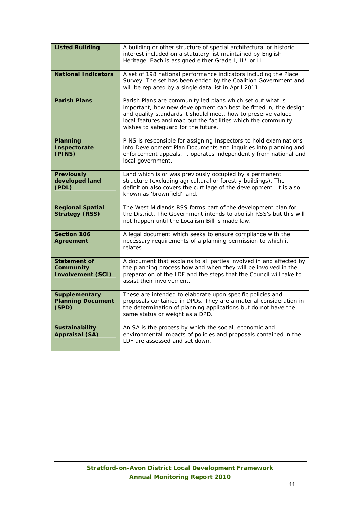| <b>Listed Building</b>                                       | A building or other structure of special architectural or historic<br>interest included on a statutory list maintained by English<br>Heritage. Each is assigned either Grade I, II* or II.                                                                                                             |
|--------------------------------------------------------------|--------------------------------------------------------------------------------------------------------------------------------------------------------------------------------------------------------------------------------------------------------------------------------------------------------|
| <b>National Indicators</b>                                   | A set of 198 national performance indicators including the Place<br>Survey. The set has been ended by the Coalition Government and<br>will be replaced by a single data list in April 2011.                                                                                                            |
| <b>Parish Plans</b>                                          | Parish Plans are community led plans which set out what is<br>important, how new development can best be fitted in, the design<br>and quality standards it should meet, how to preserve valued<br>local features and map out the facilities which the community<br>wishes to safeguard for the future. |
| Planning<br>Inspectorate<br>(PINS)                           | PINS is responsible for assigning Inspectors to hold examinations<br>into Development Plan Documents and inquiries into planning and<br>enforcement appeals. It operates independently from national and<br>local government.                                                                          |
| <b>Previously</b><br>developed land<br>(PDL)                 | Land which is or was previously occupied by a permanent<br>structure (excluding agricultural or forestry buildings). The<br>definition also covers the curtilage of the development. It is also<br>known as 'brownfield' land.                                                                         |
| <b>Regional Spatial</b><br><b>Strategy (RSS)</b>             | The West Midlands RSS forms part of the development plan for<br>the District. The Government intends to abolish RSS's but this will<br>not happen until the Localism Bill is made law.                                                                                                                 |
| <b>Section 106</b><br><b>Agreement</b>                       | A legal document which seeks to ensure compliance with the<br>necessary requirements of a planning permission to which it<br>relates.                                                                                                                                                                  |
| <b>Statement of</b><br>Community<br><b>Involvement (SCI)</b> | A document that explains to all parties involved in and affected by<br>the planning process how and when they will be involved in the<br>preparation of the LDF and the steps that the Council will take to<br>assist their involvement.                                                               |
| <b>Supplementary</b><br><b>Planning Document</b><br>(SPD)    | These are intended to elaborate upon specific policies and<br>proposals contained in DPDs. They are a material consideration in<br>the determination of planning applications but do not have the<br>same status or weight as a DPD.                                                                   |
| <b>Sustainability</b><br><b>Appraisal (SA)</b>               | An SA is the process by which the social, economic and<br>environmental impacts of policies and proposals contained in the<br>LDF are assessed and set down.                                                                                                                                           |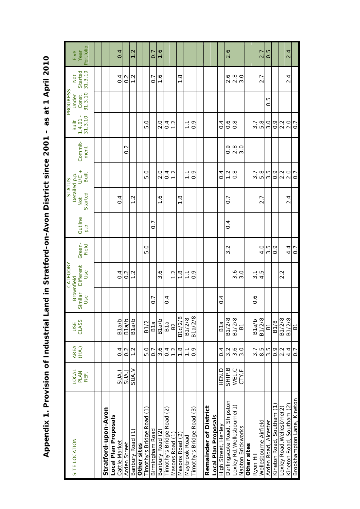| Five                           | Portfolio<br>Year      |  |                     |                      | 0.4               |                   | 1.2               |             |                          | $\overline{0}$   | $\overline{0}$    |                           |                 |                 |                |                           |                       |                      |                     | 2.6                         |                            |                   |             |                   | 2.7                   | $\frac{5}{0}$        |                           |                            | 2.4                          |                            |
|--------------------------------|------------------------|--|---------------------|----------------------|-------------------|-------------------|-------------------|-------------|--------------------------|------------------|-------------------|---------------------------|-----------------|-----------------|----------------|---------------------------|-----------------------|----------------------|---------------------|-----------------------------|----------------------------|-------------------|-------------|-------------------|-----------------------|----------------------|---------------------------|----------------------------|------------------------------|----------------------------|
| Not                            | Started<br>31.3.10     |  |                     |                      | $\overline{0}$    | $\frac{2}{2}$     | $\frac{2}{1}$     |             |                          | $\overline{0}$ . | $\frac{9}{1}$     |                           |                 | $\frac{8}{1}$   |                |                           |                       |                      |                     | 2.6                         | 2.8                        | $\frac{0}{3}$     |             |                   | 2.7                   |                      |                           |                            | $\frac{2}{4}$                |                            |
| PROGRESS<br>Under              | 31.3.10<br>Const.      |  |                     |                      |                   |                   |                   |             |                          |                  |                   |                           |                 |                 |                |                           |                       |                      |                     |                             |                            |                   |             |                   |                       | 0.5                  |                           |                            |                              |                            |
| Built                          | 31.3.10<br>1.4.01      |  |                     |                      |                   |                   |                   |             | 5.0                      |                  | $\frac{0}{2}$     | 0.4                       | $\frac{2}{1}$   |                 | $\overline{1}$ | $\frac{9}{2}$             |                       |                      | $\frac{4}{1}$       | $\frac{6}{1}$               | $\frac{8}{2}$              |                   |             | $\overline{3}$ .7 | 5.8                   | $\frac{0}{3}$        | $\frac{9}{2}$             | 2.2                        | $\frac{0}{2}$                | 0.7                        |
|                                | Commit-<br>ment        |  |                     |                      |                   | $\frac{2}{0}$     |                   |             |                          |                  |                   |                           |                 |                 |                |                           |                       |                      |                     | $\frac{6}{2}$               | $\frac{8}{2}$              | $\frac{0}{3}$     |             |                   |                       |                      |                           |                            |                              |                            |
|                                | $\frac{1}{2}$<br>Built |  |                     |                      |                   |                   |                   |             | $\frac{0}{5}$            |                  | $\frac{0}{2}$     | 0.4                       | $\frac{2}{1}$   |                 | $\overline{1}$ | $\frac{6}{2}$             |                       |                      | $\frac{4}{1}$       | $\frac{2}{1}$               | $\frac{8}{2}$              |                   |             | $\overline{3}$ .7 | 5.8                   | 3.5                  | $\frac{9}{2}$             | 2.2                        | $\frac{0}{2}$                | 0.7                        |
| Detailed p.p.<br><b>STATUS</b> | Started<br>Not         |  |                     |                      | $\overline{0}$    |                   | $\frac{2}{1}$     |             |                          |                  | $\frac{9}{1}$     |                           |                 | $\frac{8}{1}$   |                |                           |                       |                      |                     | ∼<br>.<br>0                 |                            |                   |             |                   | 2.7                   |                      |                           |                            | $\frac{4}{2}$                |                            |
|                                | Outline<br>p.p         |  |                     |                      |                   |                   |                   |             |                          | $\overline{0}$   |                   |                           |                 |                 |                |                           |                       |                      |                     | $\frac{4}{1}$               |                            |                   |             |                   |                       |                      |                           |                            |                              |                            |
|                                | Green-<br>Field        |  |                     |                      |                   |                   |                   |             | 5.0                      |                  |                   |                           |                 |                 |                |                           |                       |                      |                     | 3.2                         |                            |                   |             |                   | $\frac{0}{4}$         | 3.5                  | $\frac{6}{10}$            |                            | $4\frac{4}{1}$               | 0.7                        |
| CATEGORY                       | Different<br>Use       |  |                     |                      | $\frac{4}{1}$     | $\frac{2}{2}$     | $\frac{2}{1}$     |             |                          |                  | $\frac{6}{3}$     |                           | $\frac{2}{1}$   | $\frac{8}{1}$   | $\overline{1}$ | $\frac{6}{1}$             |                       |                      |                     |                             | $\frac{6}{3}$              | $\overline{3}$ .0 |             | $\overline{3}$ 1  | 4.5                   |                      |                           | 2.2                        |                              |                            |
| <b>Brownfield</b>              | Similar<br>Use         |  |                     |                      |                   |                   |                   |             |                          | 7<br>0           |                   | $\overline{0}$            |                 |                 |                |                           |                       |                      | $\overline{0}$ .4   |                             |                            |                   |             | $\frac{6}{1}$     |                       |                      |                           |                            |                              |                            |
|                                | USE<br>CLASS           |  |                     |                      | B <sub>1a/b</sub> | B <sub>1a/b</sub> | B <sub>1a/b</sub> |             | <b>B1/2</b>              | B <sub>1a</sub>  | B <sub>1a/b</sub> | B1a                       | B <sub>2</sub>  | B1c/2/8         | B1/2/8         | B1a/2/8                   |                       |                      | B <sub>1a</sub>     | B1/2/8                      | B1/2/8                     | 61                |             | B <sub>1a/b</sub> | B1/2/8                | 61                   | <b>B1/8</b>               | B1/2/8                     | B1/2/8                       | $\overline{\mathbf{B}}$    |
|                                | AREA<br>(HA.)          |  |                     |                      | $\overline{0}$    | $0.\overline{2}$  | $\frac{2}{1}$     |             | <b>D.O</b>               | $\overline{0}$ . | 3.6               | $\overline{0}$            | $\frac{2}{1}$   | $\frac{8}{1}$   | $\overline{1}$ | $\overline{0}$ .          |                       |                      | $\overline{0}$      | $3.\overline{2}$            | 3.6                        | 3.0               |             | 3.7               | 8.5                   | $3.\overline{5}$     | $\frac{6}{10}$            | 2.2                        | 4.4                          | 0.7                        |
| LOCAL                          | <b>PLAN</b><br>REF.    |  |                     |                      | SUA.I             | <b>SUA.J</b>      | SUA.V             |             |                          |                  |                   |                           |                 |                 |                |                           |                       |                      | HEN.D               | SHIP.B                      | WEL.C                      | CTY.F             |             |                   |                       |                      |                           |                            |                              |                            |
| SITE LOCATION                  |                        |  | Stratford-upon-Avon | Local Plan Proposals | Cattle Market     | Arden Street      | Banbury Road (1)  | Other sites | imothy's Bridge Road (1) | Birmingham Road  | Banbury Road (2)  | Timothy's Bridge Road (2) | Masons Road (1) | Masons Road (2) | Maybrook Road  | Timothy's Bridge Road (3) | Remainder of District | Local Plan Proposals | High Street, Henley | Darlingscote Road, Shipston | Loxley Rd, Wellesbourne(1) | Napton Brickworks | Other sites | Ryon Hill         | Wellesbourne Airfield | Arden Road, Alcester | Kineton Road, Southam (1) | Loxley Road, Wellesb'ne(2) | Southam (2)<br>Kineton Road, | Brookhampton Lane, Kineton |

Appendix 1. Provision of Industrial Land in Stratford-on-Avon District since 2001 - as at 1 April 2010 **Appendix 1. Provision of Industrial Land in Stratford-on-Avon District since 2001 – as at 1 April 2010**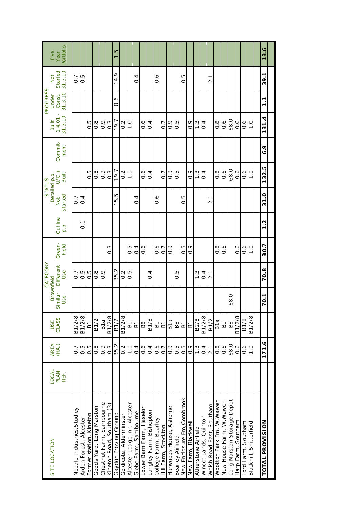| SITE LOCATION                | <b>LOCAL</b> |                  |                 | <b>Brownfield</b> | CATEGORY         |                 |                |                  | Detailed p.p.<br><b>STATUS</b> |                 | Built             | <b>PROGRESS</b><br>Under | Not                | Five              |
|------------------------------|--------------|------------------|-----------------|-------------------|------------------|-----------------|----------------|------------------|--------------------------------|-----------------|-------------------|--------------------------|--------------------|-------------------|
|                              | PLAN<br>REF. | AREA<br>(HA.)    | USE<br>CLASS    | Similar<br>Use    | Different<br>Use | Green-<br>Field | Outline<br>q.a | Started<br>Not   | U<br>Built                     | Commit-<br>ment | 31.3.10<br>1.4.01 | 31.3.10<br>Const.        | 31.3.10<br>Started | Portfolio<br>Year |
|                              |              | $\overline{0}$   |                 |                   |                  |                 |                |                  |                                |                 |                   |                          |                    |                   |
| Needle Industries, Studley   |              |                  | B1/2/8          |                   | $\overline{0}$ . |                 |                | 0.7              |                                |                 |                   |                          | 0.7                |                   |
| Arden Forest, Alcester       |              | 0.5              | B1/2/8          |                   | 0.5              |                 | $\overline{0}$ | $\overline{0}.4$ |                                |                 |                   |                          | С.<br>О            |                   |
| Former station, Kineton      |              | 0.5              | 61              |                   | 0.G              |                 |                |                  | G.O                            |                 | С.<br>О           |                          |                    |                   |
| Goods Yard, Long Marston     |              | $\frac{8}{2}$    | <b>B1/2</b>     |                   | $\frac{8}{2}$    |                 |                |                  | $\frac{8}{2}$                  |                 | $\frac{8}{2}$     |                          |                    |                   |
| Chestnut Farm, Sambourne     |              | $\frac{6}{2}$    | B <sub>1a</sub> |                   | $\frac{6}{2}$    |                 |                |                  | $\frac{6}{10}$                 |                 | $\frac{6}{2}$     |                          |                    |                   |
| ်<br>Kineton Road, Southam   |              | $0.\overline{3}$ | B1/2/8          |                   |                  | $\frac{3}{2}$   |                |                  | $0.\overline{3}$               |                 | $0.\overline{3}$  |                          |                    |                   |
| Gaydon Proving Ground        |              | 35.2             | B1/2            |                   | 35.2             |                 |                | Ю<br>.<br>ما     | 19.7                           |                 | 19.7              | $\frac{6}{1}$            | 14.9               | r.                |
| Goldicote, Alderminster      |              | 0.2              | B1/2/8          |                   | $0.\overline{2}$ |                 |                |                  | $\frac{2}{0}$                  |                 | $0.\overline{2}$  |                          |                    |                   |
| Alcester Lodge, nr. Alcester |              | $\frac{0}{1}$    | 61              |                   | 5.O              | 0.G             |                |                  | $\frac{0}{1}$                  |                 | $\frac{0}{1}$     |                          |                    |                   |
| Glebe Farm, Sambourne        |              | $\frac{4}{1}$    | $\overline{B}$  |                   |                  | $\overline{0}$  |                | 4<br>$\circ$     |                                |                 |                   |                          | $\overline{0}$     |                   |
| Lower Barn Farm, Haselor     |              | $\frac{6}{1}$    | B8              |                   |                  | o.o             |                |                  | $\frac{6}{1}$                  |                 | $\frac{6}{10}$    |                          |                    |                   |
| Langley Farm, Bishopton      |              | $\overline{0}$ . | <b>B1/8</b>     |                   | 4<br>ö           |                 |                |                  | 0.4                            |                 | $\overline{0}$    |                          |                    |                   |
| College Farm, Bearley        |              | $\frac{6}{1}$    | $\overline{B}$  |                   |                  | $\frac{6}{10}$  |                | $\frac{6}{10}$   |                                |                 |                   |                          | $\frac{6}{1}$      |                   |
| Hill Farm, Stockton          |              | $\overline{0}$   | 61              |                   |                  | $\overline{0}$  |                |                  | $\overline{0}$                 |                 | $\overline{0}$    |                          |                    |                   |
| Harwoods House, Ashorne      |              | $\frac{6}{10}$   | B <sub>1a</sub> |                   |                  | $\frac{6}{10}$  |                |                  | $\frac{6}{2}$                  |                 | o<br>O            |                          |                    |                   |
| Bearley Airfield             |              | $0.\overline{5}$ | <b>B8</b>       |                   | 0.5              |                 |                |                  | 0. G                           |                 | Ю<br>ö            |                          |                    |                   |
| New Enclosure Fm, Combrook   |              | $0.\overline{5}$ | $\overline{B}$  |                   |                  | 0.5             |                | Ю<br>ö           |                                |                 |                   |                          | С.<br>О            |                   |
| New Farm, Blackwell          |              | $\frac{6}{2}$    | $\overline{B}$  |                   |                  | $\frac{6}{2}$   |                |                  | $\frac{9}{2}$                  |                 | $\frac{6}{2}$     |                          |                    |                   |
| Atherstone Airfield          |              | $\frac{3}{2}$    | B2/8            |                   | $\frac{3}{2}$    |                 |                |                  | $\frac{3}{2}$                  |                 | $\frac{3}{2}$     |                          |                    |                   |
| Wincot Lands, Quinton        |              | $\overline{0}.4$ | B1/2/8          |                   | 0.4              |                 |                |                  | $\overline{0}$                 |                 | $\overline{0}$    |                          |                    |                   |
| Welsh Road East, Southam     |              | 2.1              | B1/2            |                   | 2.1              |                 |                | $\overline{2.1}$ |                                |                 |                   |                          | 2.1                |                   |
| Wootton Park Fm, W.Wawen     |              | $\frac{8}{2}$    | B1a             |                   |                  | $\frac{8}{2}$   |                |                  | $\frac{8}{2}$                  |                 | $\frac{8}{2}$     |                          |                    |                   |
| New House Farm, W.Wawen      |              | $0.\overline{6}$ | $\overline{5}$  |                   |                  | $\frac{6}{1}$   |                |                  | $\frac{6}{1}$                  |                 | 0.6               |                          |                    |                   |
| Long Marston Storage Depot   |              | 68.0             | B8              | $\circ$<br>68     |                  |                 |                |                  | 68.0                           |                 | 68.0              |                          |                    |                   |
| Harp Farm, Southam           |              | $0.\overline{6}$ | B1/2/8          |                   |                  | $\frac{6}{10}$  |                |                  | $\frac{6}{10}$                 |                 | $0.\overline{6}$  |                          |                    |                   |
| Southam<br>Ford Farm,        |              | $\frac{6}{1}$    | <b>B1/8</b>     |                   |                  | $\frac{6}{1}$   |                |                  | $0.\overline{6}$               |                 | $\frac{6}{1}$     |                          |                    |                   |
| Blackhill, Snitterfield      |              | $\frac{0}{1}$    | B1/2/8          |                   |                  | $\frac{0}{1}$   |                |                  | $\frac{0}{1}$                  |                 | $\overline{1}$ .0 |                          |                    |                   |
|                              |              |                  |                 |                   |                  |                 |                |                  |                                |                 |                   |                          |                    |                   |
| TOTAL PROVISION              |              | 171.6            |                 | 70.1              | 70.8             | 30.7            | $\frac{2}{1}$  | 31.0             | 132.5                          | ۰<br>ة          | 4<br>131.         | $\overline{1}$           | 39.1               | 13.6              |
|                              |              |                  |                 |                   |                  |                 |                |                  |                                |                 |                   |                          |                    |                   |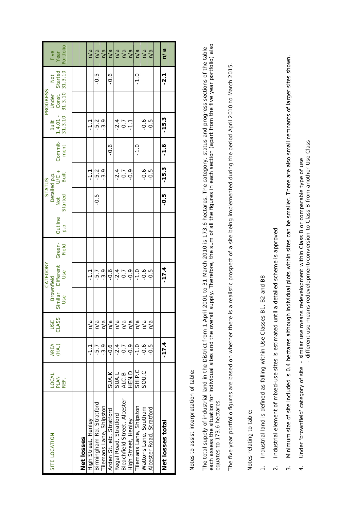|                              |              |               |            |            | CATEGORY          |        |         |                                                  | <b>STATUS</b> |               |                                                    | PROGRESS |        |               |
|------------------------------|--------------|---------------|------------|------------|-------------------|--------|---------|--------------------------------------------------|---------------|---------------|----------------------------------------------------|----------|--------|---------------|
| SITE LOCATION                | <b>LOCAL</b> |               | <b>USE</b> | Brownfield |                   |        |         |                                                  |               |               | Built                                              | Under    | Not    | Five          |
|                              | <b>PLAN</b>  | AREA<br>(HA.) | CLASS      |            | Similar Different | Green- | Outline | Detailed p.p.<br>Not U/C +<br>arted Built<br>Not |               | Commit-       |                                                    |          |        | Year          |
|                              | REF.         |               |            | Use        | Use               | Field  | p.p     | Started                                          |               | ment          | 1.4.01 - Const. Started<br>31.3.10 31.3.10 31.3.10 |          |        | Portfolio     |
|                              |              |               |            |            |                   |        |         |                                                  |               |               |                                                    |          |        |               |
|                              |              |               |            |            |                   |        |         |                                                  |               |               |                                                    |          |        |               |
| <b>Net losses</b>            |              |               |            |            |                   |        |         |                                                  |               |               |                                                    |          |        |               |
| High Street, Henley          |              | $\frac{1}{1}$ | n/a        |            | $\frac{1}{1}$     |        |         |                                                  | $\frac{1}{1}$ |               | $\frac{1}{1}$                                      |          |        | n/a           |
| Birmingham Rd, Stratford     |              | -5.7          | n/a        |            | -5.7              |        |         | $-0.5$                                           | -5.2          |               | $-5.2$                                             |          | $-0.5$ | n/a           |
| ilemans Lane, Shipston       |              | -3.9          | n/a        |            | -3.9              |        |         |                                                  | $-3.9$        |               | -3.9                                               |          |        | $\frac{a}{a}$ |
| Arden St. etc, Stratford     | SUA.K        | $\frac{6}{2}$ | n/a        |            | $-0.6$            |        |         |                                                  |               | 0.6           |                                                    |          | 9.6    | n/a           |
| Regal Road, Stratford        | <b>SUAL</b>  | -2.4          | n/a        |            | $-2.4$            |        |         |                                                  | $-2.4$        |               | $-2.4$                                             |          |        | n/a           |
| Bleachfield Street, Alcester | ALC.B        | $-0.7$        | n/a        |            | $-0.7$            |        |         |                                                  | $-0.7$        |               | $-0.7$                                             |          |        | n/a           |
| High Street, Henley          | <b>D NH</b>  | $\frac{6}{1}$ | n/a        |            | 0.9               |        |         |                                                  | 0.9           |               | $-1.1$                                             |          |        | n/a           |
| Tilemans Lane, Shipston      | SHIP.C       | $-1.0$        | n/a        |            | $-1.0$            |        |         |                                                  |               | $\frac{0}{1}$ |                                                    |          | $-1.0$ | n/a           |
| Wattons Lane, Southam        | SOU.C        | 0.6           | n/a        |            | $0.\overline{0}$  |        |         |                                                  | $-0.6$        |               | $0.\overline{6}$                                   |          |        | $\frac{a}{a}$ |
| Alcester Road, Stratford     |              | -0.5          | n/a        |            | $-0.5$            |        |         |                                                  | $-0.5$        |               | 5.p-                                               |          |        | n/a           |
|                              |              |               |            |            |                   |        |         |                                                  |               |               |                                                    |          |        |               |
| Net losses total             |              | $-17.4$       |            |            | $-17.4$           |        |         | -0.5                                             | $-15.3$       | $-1.6$        | $-15.3$                                            |          | -2.1   | n/a           |
|                              |              |               |            |            |                   |        |         |                                                  |               |               |                                                    |          |        |               |

Notes to assist interpretation of table: Notes to assist interpretation of table: The total supply of industrial land in the District from 1 April 2001 to 31 March 2010 is 173.6 hectares. The category, status and progress sections of the table<br>each assess the situation for individual sites and the overa each assess the situation for individual sites and the overall supply. Therefore, the sum of all the figures in each section (apart from the five year portfolio) also The total supply of industrial land in the District from 1 April 2001 to 31 March 2010 is 173.6 hectares. The category, status and progress sections of the table equates to 173.6 hectares. equates to 173.6 hectares.

The five year portfolio figures are based on whether there is a realistic prospect of a site being implemented during the period April 2010 to March 2015. The five year portfolio figures are based on whether there is a realistic prospect of a site being implemented during the period April 2010 to March 2015.

Notes relating to table: Notes relating to table:

- 1. Industrial land is defined as falling within Use Classes B1, B2 and B8 1. Industrial land is defined as falling within Use Classes B1, B2 and B8
- 2. Industrial element of mixed-use sites is estimated until a detailed scheme is approved 2. Industrial element of mixed-use sites is estimated until a detailed scheme is approved
- 3. Minimum size of site included is 0.4 hectares although individual plots within sites can be smaller. There are also small remnants of larger sites shown. Minimum size of site included is 0.4 hectares although individual plots within sites can be smaller. There are also small remnants of larger sites shown.  $\overline{\mathfrak{B}}$
- Under 'brownfield' category of site similar use means redevelopment within Class B or comparable type of use<br>- different use means redevelopment/conversion to Class B from another Use Class 4. Under 'brownfield' category of site - similar use means redevelopment within Class B or comparable type of use  $\ddot{4}$ .

- different use means redevelopment/conversion to Class B from another Use Class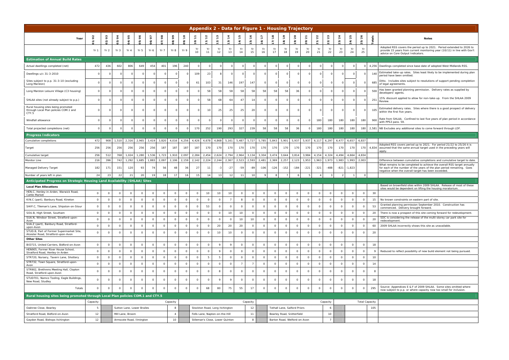|                                                                                                                   |                     |                    |                      |                    |                                  |                         |                              |                    |                              |                      |                         |                                  |                |                    |                           |                         |                      |                      |                              | Appendix 2 - Data for Figure 1 - Housing Trajectory |                      |                    |                    |                      |                          |               |                                                                                                                                                                                                                                                                                |
|-------------------------------------------------------------------------------------------------------------------|---------------------|--------------------|----------------------|--------------------|----------------------------------|-------------------------|------------------------------|--------------------|------------------------------|----------------------|-------------------------|----------------------------------|----------------|--------------------|---------------------------|-------------------------|----------------------|----------------------|------------------------------|-----------------------------------------------------|----------------------|--------------------|--------------------|----------------------|--------------------------|---------------|--------------------------------------------------------------------------------------------------------------------------------------------------------------------------------------------------------------------------------------------------------------------------------|
| Year                                                                                                              | $\frac{2}{3}$<br>o  | 2/03               | 03/04                | 04/05              | 05/06                            | 06/07                   | 07/08                        | <b>60/80</b>       | ္<br>$\tilde{e}$             | 10/1                 | $11/12$                 | 12/13                            | 13/14          | 14/15              | 15/16                     | $\frac{5}{2}$           | 17/18                | $\frac{9}{2}$        | ္ဂ<br>$\frac{5}{16}$         | 20/21                                               | 21/22                | 2/23               | 23/24              | 4/25                 | 25/26                    | <b>Totals</b> | <b>Notes</b>                                                                                                                                                                                                                                                                   |
|                                                                                                                   | Yr 1                | Yr 2               | Yr 3                 | $Yr$ 4             | Yr <sub>5</sub>                  | Yr 6                    | Yr 7                         | Yr 8               | Yr 9                         | Yr<br>10             | Yr<br>11                | Yr<br>12                         | Yr<br>13       | Yr<br>14           | Yr<br>15                  | Yr<br>16                | Yr<br>17             | Yr<br>18             | Yr<br>19                     | Yr<br>20                                            | Yr<br>21             | Yr<br>22           | Yr<br>23           | Yr<br>24             | Yr<br>25                 |               | Adopted RSS covers the period up to 2021. Period extended to 2026<br>provide 15 years from current monitoring year (10/11) in line with Go<br>advice on Core Output Indicators.                                                                                                |
| <b>Estimation of Annual Build Rates</b>                                                                           |                     |                    |                      |                    |                                  |                         |                              |                    |                              |                      |                         |                                  |                |                    |                           |                         |                      |                      |                              |                                                     |                      |                    |                    |                      |                          |               |                                                                                                                                                                                                                                                                                |
| Actual dwellings completed (net)                                                                                  | 472                 | 436                | 602                  | 806                | 649                              | 454                     | 401                          | 196                | 240                          | $\Omega$             |                         |                                  | $\Omega$       | 0                  |                           | $\Omega$                | $\Omega$             |                      |                              |                                                     |                      |                    |                    |                      |                          |               | 4,256   Dwellings completed since base date of adopted West Midlands RSS.                                                                                                                                                                                                      |
| Dwellings u/c 31-3-2010                                                                                           | $\Omega$            | $\Omega$           | $\Omega$             |                    |                                  |                         | $\circ$                      | $\Omega$           | $\Omega$                     | 109                  | 23                      |                                  | $\Omega$       | $\Omega$           |                           |                         | $\Omega$             |                      |                              | $\Omega$                                            | $\Omega$             | $\Omega$           | $\Omega$           | $\Omega$             |                          | 140           | Estimated take-up rates. Sites least likely to be implemented during pl<br>period have been omitted.                                                                                                                                                                           |
| Sites subject to p.p. 31-3-10 (excluding<br>Long Marston)                                                         | $\cap$              | $\Omega$           | $\Omega$             |                    |                                  |                         | $\Omega$                     |                    | $\Omega$                     | 61                   | 103                     | 31                               | 146            | 197                | 147                       | $\cap$                  | $\Omega$             |                      |                              | $\Omega$                                            |                      |                    | $\Omega$           | $\Omega$             |                          | 685           | Ditto. Includes sites subject to resolutions of support pending completi<br>of legal agreements.                                                                                                                                                                               |
| Long Marston Leisure Village (C3 housing)                                                                         |                     | $\Omega$           | $\Omega$             |                    |                                  |                         | $\circ$                      |                    | $\Omega$                     | $\Omega$             | 58                      | 58                               | 58             | 58                 | 58                        | 58                      | 58                   | 58                   | 36                           | $\Omega$                                            | $\Omega$             |                    |                    | 0                    |                          | 500           | Has been granted planning permission. Delivery rates as supplied by<br>developers' agents.                                                                                                                                                                                     |
| SHLAA sites (not already subject to p.p.)                                                                         | $\Omega$            | $\Omega$           | $\Omega$             |                    |                                  |                         | $\circ$                      | $\Omega$           | $\Omega$                     | $\Omega$             | 58                      | 68                               | 64             | 47                 | 14                        |                         | $\Omega$             |                      |                              |                                                     | $\Omega$             | $\Omega$           | $\Omega$           | $\Omega$             |                          | 251           | 15% discount applied to allow for non-take-up. From the SHLAA 2009<br>Review.                                                                                                                                                                                                  |
| Rural housing sites being promoted<br>through Local Plan policies COM.1 and<br>CTY.5                              | $\circ$             | $\Omega$           | $\Omega$             | $\Omega$           | $\cap$                           | $\Omega$                | $\circ$                      | $\circ$            | $\Omega$                     | $\circ$              | 10 <sup>1</sup>         | 25                               | 25             | 25                 | 20                        | $\Omega$                | $\Omega$             | $\Omega$             | $\cap$                       | $\Omega$                                            | $\Omega$             | $\circ$            | $\Omega$           | $\Omega$             | $\Omega$                 | 105           | Estimated delivery rates. Sites where there is a good prospect of delive<br>within the first five years.                                                                                                                                                                       |
| Windfall allowance                                                                                                |                     | $\Omega$           | $\Omega$             |                    |                                  |                         | $\mathbf 0$                  |                    | $\Omega$                     | $\Omega$             |                         |                                  | $\Omega$       | $\circ$            |                           |                         | $\Omega$             |                      |                              |                                                     | 180                  | 180                | 180                | 180                  | 180                      | 900           | Rate from SHLAA. Confined to last five years of plan period in accordar<br>with PPS3 para. 59.                                                                                                                                                                                 |
| Total projected completions (net)                                                                                 | $\Omega$            | $\Omega$           |                      |                    |                                  |                         | $\mathbf 0$                  | $\Omega$           | $\Omega$                     | 170                  | 252                     | 190                              | 293            | 327                | 239                       | 58                      | 58                   | 58                   | 36                           |                                                     | 180                  | 180                | 180                | 180                  | 180                      |               | 2,581 NB Excludes any additional sites to come forward through LDF                                                                                                                                                                                                             |
| <b>Progress Indicators</b>                                                                                        |                     |                    |                      |                    |                                  |                         |                              |                    |                              |                      |                         |                                  |                |                    |                           |                         |                      |                      |                              |                                                     |                      |                    |                    |                      |                          |               |                                                                                                                                                                                                                                                                                |
| Cumulative completions                                                                                            | 472                 | 908                | 1,510                | 2,316              | 2,965                            | 3,419                   | 3,820                        | 4,016              | 4,256                        | 4,426                | 4,678                   | 4,868                            | 5,161          | 5,487              | 5,727                     | 5,785                   | 5,843                | 5,901                | 5,937                        | 5,937                                               | 6,117                | 6,297              | 6,477              | 6,657                | 6,837                    |               |                                                                                                                                                                                                                                                                                |
| Target                                                                                                            | 256                 | 256                | 256                  | 256                | 256                              | 256                     | 187                          | 187                | 187                          | 187                  | 170                     | 170                              | 170            | 170                | 170                       | 170                     | 170                  | 170                  | 170                          | 170                                                 | 170                  | 170                | 170                | 170                  | 170                      | 4,834         | Adopted RSS covers period up to 2021. For period 21/22 to 25/26 it is<br>assumed that the same annual target used in the preceding years will<br>apply.                                                                                                                        |
| Cumulative target                                                                                                 | 256                 | 512                | 768                  | 1,024              | 1,280                            | 1,536                   | 1,723                        |                    | 1,910 2,097                  | 2,284                | 2,454                   | 2,624                            | 2,794          | 2,964              | 3,134                     | 3,304                   | 3,474                | 3,644                | 3,814                        | 3,984                                               | 4,154                | 4,324              | 4,494              | 4,664                | 4,834                    |               |                                                                                                                                                                                                                                                                                |
| Monitor Line<br>Managed Delivery Target                                                                           | 216<br>182          | 396<br>171         | 742<br>151           | 1,292<br>120       | 1,685<br>93                      | 1,883<br>74             | 2,097<br>56                  | 48                 | 2,106 2,159<br>36            | 2,142<br>27          | 2,224<br>$\overline{1}$ | 2,244                            | 2,367<br>$-27$ | 2,523<br>$-59$     | 2,593<br>-89              | 2,481<br>$-106$         | 2,369<br>$-126$      | 2,257<br>$-152$      | 2,123<br>$-184$              | 1,953<br>$-221$                                     | 1,963<br>$-321$      | 1,973<br>$-488$    | 1,983<br>$-821$    | 1,993<br>$-1,823$    | 2,003                    |               | Difference between cumulative completions and cumulative target to da<br>What remains to be completed to achieve the overall RSS target annua<br>for each of the number of the years of the plan period remaining. Goes<br>negative when the overall target has been exceeded. |
| Number of years left in plan                                                                                      | 24                  | 23                 | 22                   | 21                 | 20                               | 19                      | 18                           | 17 <sup>1</sup>    | 16                           | 15                   | 14                      | 13                               | 12             | 11                 | 10                        | q                       |                      |                      |                              |                                                     |                      |                    |                    |                      |                          |               |                                                                                                                                                                                                                                                                                |
| Anticipated Progress on Strategic Housing Land Availability (SHLAA) Sites                                         |                     |                    |                      |                    |                                  |                         |                              |                    |                              |                      |                         |                                  |                |                    |                           |                         |                      |                      |                              |                                                     |                      |                    |                    |                      |                          |               |                                                                                                                                                                                                                                                                                |
| <b>Local Plan Allocations</b>                                                                                     |                     |                    |                      |                    |                                  |                         |                              |                    |                              |                      |                         |                                  |                |                    |                           |                         |                      |                      |                              |                                                     |                      |                    |                    |                      |                          |               | Based on brownfield sites within 2009 SHLAA. Release of most of thes<br>sites would be dependent on lifting the housing moratorium                                                                                                                                             |
| HEN.C, Henley-in-Arden, Warwick Road,<br><b>Cattle Market</b>                                                     | $\overline{0}$      | $\circ$            | $\Omega$             | $\Omega$           | $\overline{0}$                   | $\mathbf 0$             | $\circ$                      | $\circ$            | $\mathsf{O}$                 | $\Omega$             | 10                      | 10                               | 10             | $\circ$            | $\overline{0}$            | $\circ$                 | $\Omega$             | $\Omega$             | $\circ$                      | $\mathbf 0$                                         | $\Omega$             | $\overline{0}$     | $\circ$            | $\circ$              | - 0                      | 30            |                                                                                                                                                                                                                                                                                |
| KIN.C (part), Banbury Road, Kineton                                                                               | $\circ$             | $\circ$            | $\Omega$             | $\circ$            | $\overline{0}$                   | $\overline{0}$          | $\overline{0}$               | $\circ$            | $\circ$                      | $\circ$              | $\circ$                 | $\circ$                          | $\overline{7}$ |                    | $\circ$                   | $\overline{0}$          | $\circ$              | $\overline{0}$       | $\circ$                      | $\mathbf 0$                                         | $\circ$              | $\circ$            | $\circ$            | $\circ$              | $\overline{\phantom{0}}$ | 15            | No known constraints on eastern part of site.                                                                                                                                                                                                                                  |
| SHIP.C, Tileman's Lane, Shipston-on-Stour                                                                         | $\circ$             | $\mathbf 0$        | $\Omega$             | $\Omega$           | $\circ$                          | $\mathbf 0$             | $\circ$                      | $\circ$            | $\circ$                      | $\Omega$             | 53                      | $\circ$                          | $\circ$        | $\circ$            | $\circ$                   | $\circ$                 | $\Omega$             | $\Omega$             | $\circ$                      | $\mathbf 0$                                         | $\Omega$             | $\circ$            | $\circ$            | $\Omega$             | C                        | 53            | Granted planning permission September 2010. Construction has<br>commenced. Delivery brought forward.                                                                                                                                                                           |
| SOU.B, High Street, Southam<br>SUA.N, Windsor Street, Stratford-upon-                                             | $\mathbf{O}$        | $\circ$            | $\circ$              | $\overline{0}$     | $\overline{0}$                   | $\circ$                 | $\overline{0}$               | $\circ$            | $\circ$                      | $\circ$              | $\overline{0}$          | $\Omega$                         | 10             | 10                 | $\circ$                   | $\circ$                 | $\circ$              | $\Omega$             | $\circ$                      | $\circ$                                             | $\Omega$             | $\circ$            | $\circ$            | $\circ$              | $\circ$                  | 20            | There is now a prospect of this site coming forward for redevelopment                                                                                                                                                                                                          |
| Avon                                                                                                              | $\Omega$            | $\circ$            | $\Omega$             | $\cap$             | $\overline{0}$                   | $\mathbf 0$             | $\overline{0}$               | $\Omega$           | $\circ$                      | $\Omega$             | $\Omega$                | $\circ$                          | $\circ$        | 10                 | 10                        | $\circ$                 | $\Omega$             | $\Omega$             | $\circ$                      | $\Omega$                                            | $\Omega$             | $\Omega$           | $\circ$            | $\circ$              | $\Omega$                 | 20            | SDC is considering the release of the multi-storey car park site for<br>redevelopment.                                                                                                                                                                                         |
| SUA.Z (part), Banbury Road, Stratford-<br>upon-Avon<br>STUD.B, Part of Former Supermarket Site,                   | $\Omega$            | $\circ$            | $\Omega$             | $\cap$             | $\Omega$                         | $\Omega$                | $\mathsf{O}$                 | $\Omega$           | $\mathsf{O}$                 | $\Omega$             | $\sqrt{ }$              | 20                               | 20             | 20                 | $\overline{0}$            | $\circ$                 | $\Omega$             | $\Omega$             | $\Omega$                     | $\Omega$                                            | $\Omega$             | $\Omega$           | $\circ$            | $\Omega$             | $\Omega$                 | 60            | 2009 SHLAA incorrectly shows this site as unavailable.                                                                                                                                                                                                                         |
| Alcester Road, Stratford-upon-Avon                                                                                | $\Omega$            | $\circ$            | $\Omega$             | $\Omega$           | $\Omega$                         | $\Omega$                | $\overline{0}$               | $\Omega$           | $\circ$                      | $\Omega$             | -C                      | 10                               | 10             | $\Omega$           | $\Omega$                  | $\mathbf 0$             | $\Omega$             | $\Omega$             | $\Omega$                     | $\Omega$                                            | $\Omega$             | $\circ$            | $\circ$            | $\Omega$             | $\Omega$                 | 20            |                                                                                                                                                                                                                                                                                |
| <b>Other Sites</b>                                                                                                |                     |                    |                      |                    |                                  |                         |                              |                    |                              |                      |                         |                                  |                |                    |                           |                         |                      |                      |                              |                                                     |                      |                    |                    |                      |                          |               |                                                                                                                                                                                                                                                                                |
| BID715, United Carriers, Bidford-on-Avon<br>HEN905, Former River House School,<br>Stratford Road, Henley-in-Arden | $\circ$<br>$\Omega$ | $\circ$<br>$\circ$ | $\Omega$<br>$\Omega$ | $\cap$<br>$\Omega$ | $\overline{0}$<br>$\overline{0}$ | $\mathbf 0$<br>$\Omega$ | $\mathsf{O}$<br>$\mathsf{O}$ | $\circ$<br>$\circ$ | $\mathsf{O}$<br>$\mathsf{O}$ | $\Omega$<br>$\Omega$ | $\Omega$<br>$\Omega$    | $\overline{9}$<br>$\overline{9}$ | 9<br>$\Omega$  | $\circ$<br>$\circ$ | $\circ$<br>$\overline{0}$ | $\mathsf{O}$<br>$\circ$ | $\Omega$<br>$\Omega$ | $\Omega$<br>$\Omega$ | $\Omega$<br>$\circ$          | $\mathbf 0$<br>$\Omega$                             | $\Omega$<br>$\Omega$ | $\circ$<br>$\circ$ | $\circ$<br>$\circ$ | $\Omega$<br>$\Omega$ | $\Omega$<br>$\Omega$     | 18<br>- 9     | Reduced to reflect possibility of new build element not being pursued.                                                                                                                                                                                                         |
| STR720, Nursery, Tavern Lane, Shottery                                                                            | $\overline{0}$      | $\circ$            | $\Omega$             | - 0                | $\overline{0}$                   | $\circ$                 | $\overline{0}$               | $\circ$            | $\mathsf{O}$                 | $\circ$              | -5                      | 5                                | $\circ$        | $\circ$            | $\overline{0}$            | $\circ$                 | $\Omega$             | $\Omega$             | $\circ$                      | $\mathbf 0$                                         | $\circ$              | $\circ$            | $\circ$            | $\circ$              | $\Omega$                 | 10            |                                                                                                                                                                                                                                                                                |
| STR732, Town Square, Stratford-upon-                                                                              | $\circ$             | $\circ$            | $\Omega$             | $\circ$            | $\overline{0}$                   | $\circ$                 | $\mathsf{O}$                 | $\circ$            | $\mathsf{O}$                 | $\Omega$             | $\circ$                 | $\circ$                          | $\Omega$       |                    |                           | $\mathsf{O}$            | $\Omega$             | $\overline{0}$       | $\Omega$                     | $\Omega$                                            | $\Omega$             | $\circ$            | $\circ$            | $\Omega$             | $\overline{\mathbf{0}}$  | 14            |                                                                                                                                                                                                                                                                                |
| Avon<br>STR902, Brethrens Meeting Hall, Clopton<br>Road, Stratford-upon-Avon                                      | $\Omega$            | $\circ$            | $\Omega$             | - 0                | $\Omega$                         | $\Omega$                | $\circ$                      | $\Omega$           | $\circ$                      | $\Omega$             | $\Omega$                |                                  | $\Omega$       | $\Omega$           | $\Omega$                  | $\circ$                 | $\Omega$             | $\Omega$             | $\Omega$                     | $\Omega$                                            | $\Omega$             | $\Omega$           | $\circ$            | $\Omega$             | $\Omega$                 | -8            |                                                                                                                                                                                                                                                                                |
| STUD701, Namco Tooling, Eagle Buildings,<br>New Road, Studley                                                     | $\Omega$            | $\circ$            | $\Omega$             | $^{\circ}$         | $\circ$                          | $\Omega$                | $\circ$                      | $\Omega$           | $\circ$                      | $\Omega$             | - 0                     | $\mathbf{Q}$                     | $\circ$        | $\Omega$           | $\overline{0}$            | $\circ$                 | $\circ$              | $\Omega$             | $\Omega$                     | $\Omega$                                            | $\Omega$             | $\Omega$           | $\circ$            | $\circ$              | $\overline{\phantom{0}}$ | 18            |                                                                                                                                                                                                                                                                                |
| Totals                                                                                                            | $\overline{0}$      | $\circ$            | $\Omega$             | $\Omega$           | $\Omega$                         | $\Omega$                | $\Omega$                     | $\circ$            | $\circ$                      | $\Omega$             | 68                      | 80                               | 75             | 55                 | 17                        | $\circ$                 | $\Omega$             | $\Omega$             | $\Omega$                     | $\Omega$                                            | $\Omega$             | $\overline{0}$     | $\circ$            | $\Omega$             | $\mathsf{C}$             | 295           | Source: Appendices E & F of 2009 SHLAA. Some sites omitted where<br>now subject to p.p. or where capacity now too small for inclusion.                                                                                                                                         |
| Rural housing sites being promoted through Local Plan policies COM.1 and CTY.5                                    |                     |                    |                      |                    |                                  |                         |                              |                    |                              |                      |                         |                                  |                |                    |                           |                         |                      |                      |                              |                                                     |                      |                    |                    |                      |                          |               |                                                                                                                                                                                                                                                                                |
|                                                                                                                   | Capacity            |                    |                      |                    |                                  |                         |                              | Capacity           |                              |                      |                         |                                  |                |                    | Capacity                  |                         |                      |                      |                              |                                                     |                      | Capacity           |                    |                      | <b>Total Capacity</b>    |               |                                                                                                                                                                                                                                                                                |
| Oaktree Close, Bearley                                                                                            | -5                  |                    |                      |                    | Sutton Lane, Lower Brailes       |                         |                              | 8                  |                              |                      |                         | Stockton Road, Long Itchington   |                |                    | 12                        |                         |                      |                      | Tothall Lane, Salford Priors |                                                     |                      | 6                  |                    |                      |                          | 105           |                                                                                                                                                                                                                                                                                |
| Stratford Road, Bidford-on-Avon                                                                                   | 12                  |                    |                      | Mill Lane, Broom   |                                  |                         |                              | $\overline{A}$     |                              |                      |                         | Fells Lane, Napton-on-the-Hill   |                |                    | 11                        |                         |                      |                      | Bearley Road, Snitterfield   |                                                     |                      | 10                 |                    |                      |                          |               |                                                                                                                                                                                                                                                                                |
| Gaydon Road, Bishops Itchington                                                                                   | 12                  |                    |                      |                    | Armscote Road, Ilmington         |                         |                              | 10                 |                              |                      |                         | Stileman's Close, Lower Quinton  |                |                    | 8                         |                         |                      |                      | Barton Road, Welford-on-Avon |                                                     |                      | $\overline{7}$     |                    |                      |                          |               |                                                                                                                                                                                                                                                                                |

ference between cumulative completions and cumulative target to date. hat remains to be completed to achieve the overall RSS target annually for each of the number of the years of the plan period remaining. Goes gative when the overall target has been exceeded.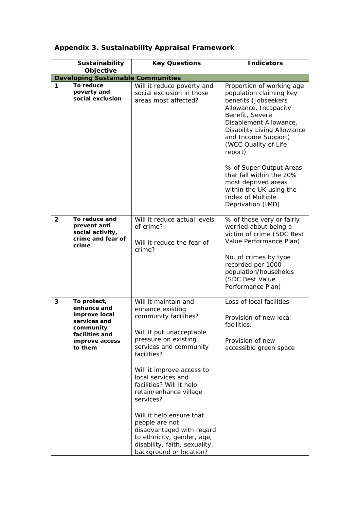|                | Sustainability                                                                                                          | <b>Key Questions</b>                                                                                                                                                                                                                                                                                                                                                                                                                                      | <b>Indicators</b>                                                                                                                                                                                                                                                                                                                                                                                     |
|----------------|-------------------------------------------------------------------------------------------------------------------------|-----------------------------------------------------------------------------------------------------------------------------------------------------------------------------------------------------------------------------------------------------------------------------------------------------------------------------------------------------------------------------------------------------------------------------------------------------------|-------------------------------------------------------------------------------------------------------------------------------------------------------------------------------------------------------------------------------------------------------------------------------------------------------------------------------------------------------------------------------------------------------|
|                | Objective<br><b>Developing Sustainable Communities</b>                                                                  |                                                                                                                                                                                                                                                                                                                                                                                                                                                           |                                                                                                                                                                                                                                                                                                                                                                                                       |
| $\mathbf 1$    | To reduce<br>poverty and<br>social exclusion                                                                            | Will it reduce poverty and<br>social exclusion in those<br>areas most affected?                                                                                                                                                                                                                                                                                                                                                                           | Proportion of working age<br>population claiming key<br>benefits (Jobseekers<br>Allowance, Incapacity<br>Benefit, Severe<br>Disablement Allowance,<br><b>Disability Living Allowance</b><br>and Income Support)<br>(WCC Quality of Life<br>report)<br>% of Super Output Areas<br>that fall within the 20%<br>most deprived areas<br>within the UK using the<br>Index of Multiple<br>Deprivation (IMD) |
| $\overline{2}$ | To reduce and<br>prevent anti<br>social activity,<br>crime and fear of<br>crime                                         | Will it reduce actual levels<br>of crime?<br>Will it reduce the fear of<br>crime?                                                                                                                                                                                                                                                                                                                                                                         | % of those very or fairly<br>worried about being a<br>victim of crime (SDC Best<br>Value Performance Plan)<br>No. of crimes by type<br>recorded per 1000<br>population/households<br>(SDC Best Value<br>Performance Plan)                                                                                                                                                                             |
| 3              | To protect,<br>enhance and<br>improve local<br>services and<br>community<br>facilities and<br>improve access<br>to them | Will it maintain and<br>enhance existing<br>community facilities?<br>Will it put unacceptable<br>pressure on existing<br>services and community<br>facilities?<br>Will it improve access to<br>local services and<br>facilities? Will it help<br>retain/enhance village<br>services?<br>Will it help ensure that<br>people are not<br>disadvantaged with regard<br>to ethnicity, gender, age,<br>disability, faith, sexuality,<br>background or location? | Loss of local facilities<br>Provision of new local<br>facilities.<br>Provision of new<br>accessible green space                                                                                                                                                                                                                                                                                       |

## **Appendix 3. Sustainability Appraisal Framework**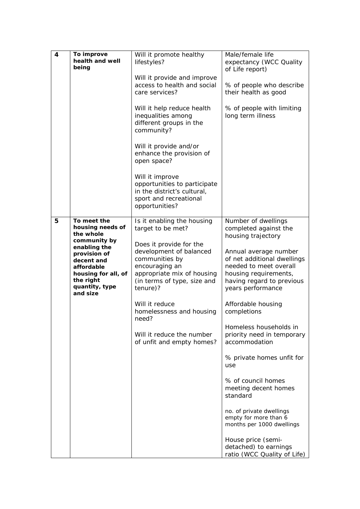| 4 | To improve<br>health and well<br>being                                                                                                     | Will it promote healthy<br>lifestyles?                                                                                                                          | Male/female life<br>expectancy (WCC Quality<br>of Life report)                                                                                            |
|---|--------------------------------------------------------------------------------------------------------------------------------------------|-----------------------------------------------------------------------------------------------------------------------------------------------------------------|-----------------------------------------------------------------------------------------------------------------------------------------------------------|
|   |                                                                                                                                            | Will it provide and improve<br>access to health and social<br>care services?                                                                                    | % of people who describe<br>their health as good                                                                                                          |
|   |                                                                                                                                            | Will it help reduce health<br>inequalities among<br>different groups in the<br>community?                                                                       | % of people with limiting<br>long term illness                                                                                                            |
|   |                                                                                                                                            | Will it provide and/or<br>enhance the provision of<br>open space?                                                                                               |                                                                                                                                                           |
|   |                                                                                                                                            | Will it improve<br>opportunities to participate<br>in the district's cultural,<br>sport and recreational<br>opportunities?                                      |                                                                                                                                                           |
| 5 | To meet the<br>housing needs of<br>the whole                                                                                               | Is it enabling the housing<br>target to be met?                                                                                                                 | Number of dwellings<br>completed against the<br>housing trajectory                                                                                        |
|   | community by<br>enabling the<br>provision of<br>decent and<br>affordable<br>housing for all, of<br>the right<br>quantity, type<br>and size | Does it provide for the<br>development of balanced<br>communities by<br>encouraging an<br>appropriate mix of housing<br>(in terms of type, size and<br>tenure)? | Annual average number<br>of net additional dwellings<br>needed to meet overall<br>housing requirements,<br>having regard to previous<br>years performance |
|   |                                                                                                                                            | Will it reduce<br>homelessness and housing<br>need?                                                                                                             | Affordable housing<br>completions                                                                                                                         |
|   |                                                                                                                                            | Will it reduce the number<br>of unfit and empty homes?                                                                                                          | Homeless households in<br>priority need in temporary<br>accommodation                                                                                     |
|   |                                                                                                                                            |                                                                                                                                                                 | % private homes unfit for<br>use                                                                                                                          |
|   |                                                                                                                                            |                                                                                                                                                                 | % of council homes<br>meeting decent homes<br>standard                                                                                                    |
|   |                                                                                                                                            |                                                                                                                                                                 | no. of private dwellings<br>empty for more than 6<br>months per 1000 dwellings                                                                            |
|   |                                                                                                                                            |                                                                                                                                                                 | House price (semi-<br>detached) to earnings<br>ratio (WCC Quality of Life)                                                                                |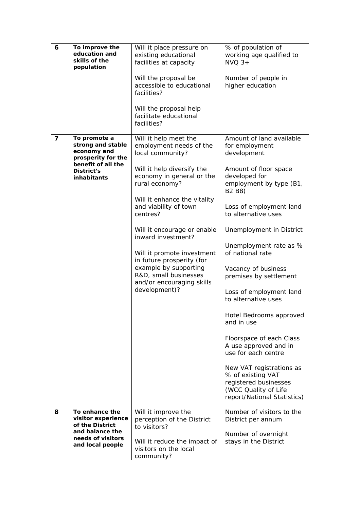| 6 | To improve the<br>education and<br>skills of the<br>population                                                            | Will it place pressure on<br>existing educational<br>facilities at capacity<br>Will the proposal be<br>accessible to educational<br>facilities?<br>Will the proposal help<br>facilitate educational<br>facilities?                                                                                                                                                                                                                     | % of population of<br>working age qualified to<br>$NVO$ 3+<br>Number of people in<br>higher education                                                                                                                                                                                                                                                                                                                                                                                                                                                                                                                                                  |
|---|---------------------------------------------------------------------------------------------------------------------------|----------------------------------------------------------------------------------------------------------------------------------------------------------------------------------------------------------------------------------------------------------------------------------------------------------------------------------------------------------------------------------------------------------------------------------------|--------------------------------------------------------------------------------------------------------------------------------------------------------------------------------------------------------------------------------------------------------------------------------------------------------------------------------------------------------------------------------------------------------------------------------------------------------------------------------------------------------------------------------------------------------------------------------------------------------------------------------------------------------|
| 7 | To promote a<br>strong and stable<br>economy and<br>prosperity for the<br>benefit of all the<br>District's<br>inhabitants | Will it help meet the<br>employment needs of the<br>local community?<br>Will it help diversify the<br>economy in general or the<br>rural economy?<br>Will it enhance the vitality<br>and viability of town<br>centres?<br>Will it encourage or enable<br>inward investment?<br>Will it promote investment<br>in future prosperity (for<br>example by supporting<br>R&D, small businesses<br>and/or encouraging skills<br>development)? | Amount of land available<br>for employment<br>development<br>Amount of floor space<br>developed for<br>employment by type (B1,<br>B <sub>2</sub> B <sub>8</sub> )<br>Loss of employment land<br>to alternative uses<br>Unemployment in District<br>Unemployment rate as %<br>of national rate<br>Vacancy of business<br>premises by settlement<br>Loss of employment land<br>to alternative uses<br>Hotel Bedrooms approved<br>and in use<br>Floorspace of each Class<br>A use approved and in<br>use for each centre<br>New VAT registrations as<br>% of existing VAT<br>registered businesses<br>(WCC Quality of Life<br>report/National Statistics) |
| 8 | To enhance the<br>visitor experience<br>of the District<br>and balance the<br>needs of visitors<br>and local people       | Will it improve the<br>perception of the District<br>to visitors?<br>Will it reduce the impact of<br>visitors on the local<br>community?                                                                                                                                                                                                                                                                                               | Number of visitors to the<br>District per annum<br>Number of overnight<br>stays in the District                                                                                                                                                                                                                                                                                                                                                                                                                                                                                                                                                        |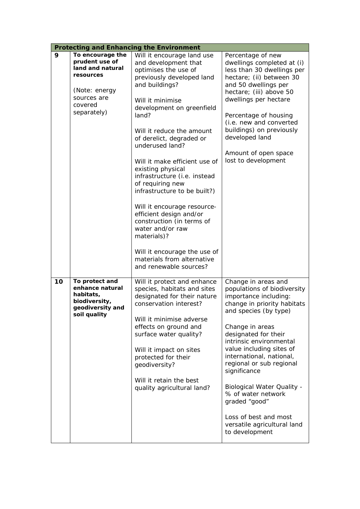|    | <b>Protecting and Enhancing the Environment</b>                                                                               |                                                                                                                                                                                                                                                                                                                                                                                                                                                                                                                                                                                                                             |                                                                                                                                                                                                                                                                                                                                                                                                                                                                     |  |  |  |  |  |  |
|----|-------------------------------------------------------------------------------------------------------------------------------|-----------------------------------------------------------------------------------------------------------------------------------------------------------------------------------------------------------------------------------------------------------------------------------------------------------------------------------------------------------------------------------------------------------------------------------------------------------------------------------------------------------------------------------------------------------------------------------------------------------------------------|---------------------------------------------------------------------------------------------------------------------------------------------------------------------------------------------------------------------------------------------------------------------------------------------------------------------------------------------------------------------------------------------------------------------------------------------------------------------|--|--|--|--|--|--|
| 9  | To encourage the<br>prudent use of<br>land and natural<br>resources<br>(Note: energy<br>sources are<br>covered<br>separately) | Will it encourage land use<br>and development that<br>optimises the use of<br>previously developed land<br>and buildings?<br>Will it minimise<br>development on greenfield<br>land?<br>Will it reduce the amount<br>of derelict, degraded or<br>underused land?<br>Will it make efficient use of<br>existing physical<br>infrastructure (i.e. instead<br>of requiring new<br>infrastructure to be built?)<br>Will it encourage resource-<br>efficient design and/or<br>construction (in terms of<br>water and/or raw<br>materials)?<br>Will it encourage the use of<br>materials from alternative<br>and renewable sources? | Percentage of new<br>dwellings completed at (i)<br>less than 30 dwellings per<br>hectare; (ii) between 30<br>and 50 dwellings per<br>hectare; (iii) above 50<br>dwellings per hectare<br>Percentage of housing<br>(i.e. new and converted<br>buildings) on previously<br>developed land<br>Amount of open space<br>lost to development                                                                                                                              |  |  |  |  |  |  |
| 10 | To protect and<br>enhance natural<br>habitats,<br>biodiversity,<br>geodiversity and<br>soil quality                           | Will it protect and enhance<br>species, habitats and sites<br>designated for their nature<br>conservation interest?<br>Will it minimise adverse<br>effects on ground and<br>surface water quality?<br>Will it impact on sites<br>protected for their<br>geodiversity?<br>Will it retain the best<br>quality agricultural land?                                                                                                                                                                                                                                                                                              | Change in areas and<br>populations of biodiversity<br>importance including:<br>change in priority habitats<br>and species (by type)<br>Change in areas<br>designated for their<br>intrinsic environmental<br>value including sites of<br>international, national,<br>regional or sub regional<br>significance<br><b>Biological Water Quality -</b><br>% of water network<br>graded "good"<br>Loss of best and most<br>versatile agricultural land<br>to development |  |  |  |  |  |  |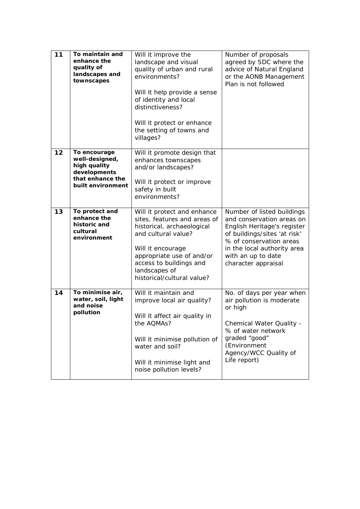| 11 | To maintain and<br>enhance the<br>quality of<br>landscapes and<br>townscapes                            | Will it improve the<br>landscape and visual<br>quality of urban and rural<br>environments?<br>Will it help provide a sense<br>of identity and local<br>distinctiveness?<br>Will it protect or enhance<br>the setting of towns and<br>villages? | Number of proposals<br>agreed by SDC where the<br>advice of Natural England<br>or the AONB Management<br>Plan is not followed                                                                                                 |
|----|---------------------------------------------------------------------------------------------------------|------------------------------------------------------------------------------------------------------------------------------------------------------------------------------------------------------------------------------------------------|-------------------------------------------------------------------------------------------------------------------------------------------------------------------------------------------------------------------------------|
| 12 | To encourage<br>well-designed,<br>high quality<br>developments<br>that enhance the<br>built environment | Will it promote design that<br>enhances townscapes<br>and/or landscapes?<br>Will it protect or improve<br>safety in built<br>environments?                                                                                                     |                                                                                                                                                                                                                               |
| 13 | To protect and<br>enhance the<br>historic and<br>cultural<br>environment                                | Will it protect and enhance<br>sites, features and areas of<br>historical, archaeological<br>and cultural value?<br>Will it encourage<br>appropriate use of and/or<br>access to buildings and<br>landscapes of<br>historical/cultural value?   | Number of listed buildings<br>and conservation areas on<br>English Heritage's register<br>of buildings/sites 'at risk'<br>% of conservation areas<br>in the local authority area<br>with an up to date<br>character appraisal |
| 14 | To minimise air,<br>water, soil, light<br>and noise<br>pollution                                        | Will it maintain and<br>improve local air quality?<br>Will it affect air quality in<br>the AQMAs?<br>Will it minimise pollution of<br>water and soil?<br>Will it minimise light and<br>noise pollution levels?                                 | No. of days per year when<br>air pollution is moderate<br>or high<br>Chemical Water Quality -<br>% of water network<br>graded "good"<br>(Environment<br>Agency/WCC Quality of<br>Life report)                                 |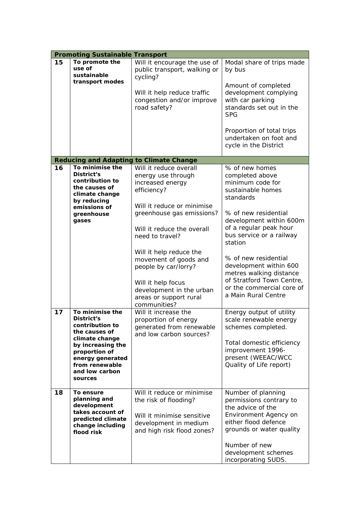|    | <b>Promoting Sustainable Transport</b>                                                                                                                                                       |                                                                                                                                                                      |                                                                                                                                                                                                                |
|----|----------------------------------------------------------------------------------------------------------------------------------------------------------------------------------------------|----------------------------------------------------------------------------------------------------------------------------------------------------------------------|----------------------------------------------------------------------------------------------------------------------------------------------------------------------------------------------------------------|
| 15 | To promote the<br>use of<br>sustainable                                                                                                                                                      | Will it encourage the use of<br>public transport, walking or<br>cycling?                                                                                             | Modal share of trips made<br>by bus                                                                                                                                                                            |
|    | transport modes                                                                                                                                                                              | Will it help reduce traffic<br>congestion and/or improve<br>road safety?                                                                                             | Amount of completed<br>development complying<br>with car parking<br>standards set out in the<br><b>SPG</b>                                                                                                     |
|    |                                                                                                                                                                                              |                                                                                                                                                                      | Proportion of total trips<br>undertaken on foot and<br>cycle in the District                                                                                                                                   |
|    |                                                                                                                                                                                              | <b>Reducing and Adapting to Climate Change</b>                                                                                                                       |                                                                                                                                                                                                                |
| 16 | To minimise the<br>District's<br>contribution to<br>the causes of<br>climate change<br>by reducing                                                                                           | Will it reduce overall<br>energy use through<br>increased energy<br>efficiency?                                                                                      | % of new homes<br>completed above<br>minimum code for<br>sustainable homes<br>standards                                                                                                                        |
|    | emissions of<br>greenhouse<br>gases                                                                                                                                                          | Will it reduce or minimise<br>greenhouse gas emissions?<br>Will it reduce the overall<br>need to travel?                                                             | % of new residential<br>development within 600m<br>of a regular peak hour<br>bus service or a railway<br>station                                                                                               |
|    |                                                                                                                                                                                              | Will it help reduce the<br>movement of goods and<br>people by car/lorry?<br>Will it help focus<br>development in the urban<br>areas or support rural<br>communities? | % of new residential<br>development within 600<br>metres walking distance<br>of Stratford Town Centre,<br>or the commercial core of<br>a Main Rural Centre                                                     |
| 17 | To minimise the<br>District's<br>contribution to<br>the causes of<br>climate change<br>by increasing the<br>proportion of<br>energy generated<br>from renewable<br>and low carbon<br>sources | Will it increase the<br>proportion of energy<br>generated from renewable<br>and low carbon sources?                                                                  | Energy output of utility<br>scale renewable energy<br>schemes completed.<br>Total domestic efficiency<br>improvement 1996-<br>present (WEEAC/WCC<br>Quality of Life report)                                    |
| 18 | To ensure<br>planning and<br>development<br>takes account of<br>predicted climate<br>change including<br>flood risk                                                                          | Will it reduce or minimise<br>the risk of flooding?<br>Will it minimise sensitive<br>development in medium<br>and high risk flood zones?                             | Number of planning<br>permissions contrary to<br>the advice of the<br>Environment Agency on<br>either flood defence<br>grounds or water quality<br>Number of new<br>development schemes<br>incorporating SUDS. |